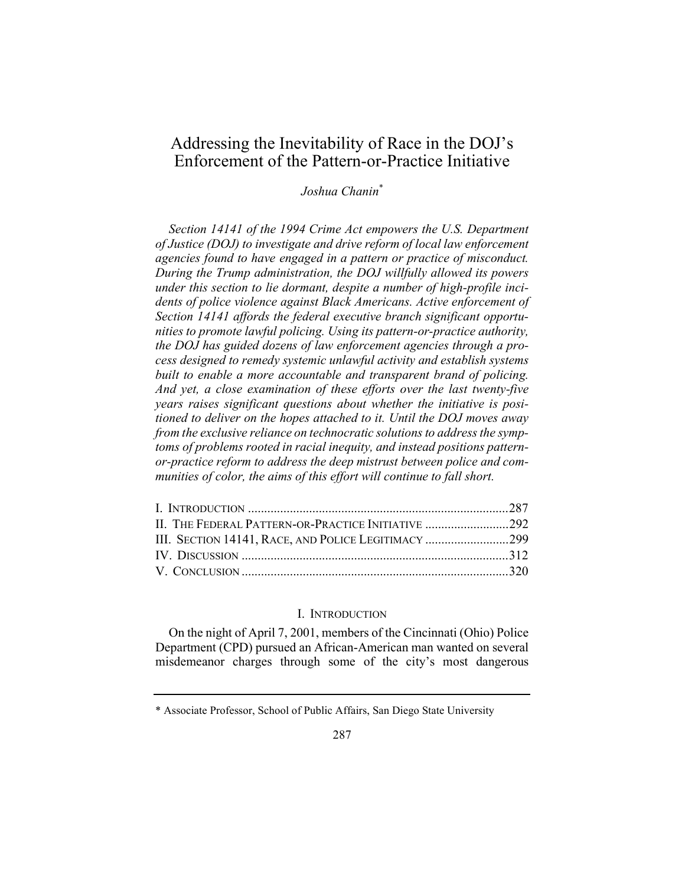# Addressing the Inevitability of Race in the DOJ's Enforcement of the Pattern-or-Practice Initiative

Joshua Chanin\*

Section 14141 of the 1994 Crime Act empowers the U.S. Department of Justice (DOJ) to investigate and drive reform of local law enforcement agencies found to have engaged in a pattern or practice of misconduct. During the Trump administration, the DOJ willfully allowed its powers under this section to lie dormant, despite a number of high-profile incidents of police violence against Black Americans. Active enforcement of Section 14141 affords the federal executive branch significant opportunities to promote lawful policing. Using its pattern-or-practice authority, the DOJ has guided dozens of law enforcement agencies through a process designed to remedy systemic unlawful activity and establish systems built to enable a more accountable and transparent brand of policing. And yet, a close examination of these efforts over the last twenty-five years raises significant questions about whether the initiative is positioned to deliver on the hopes attached to it. Until the DOJ moves away from the exclusive reliance on technocratic solutions to address the symptoms of problems rooted in racial inequity, and instead positions patternor-practice reform to address the deep mistrust between police and communities of color, the aims of this effort will continue to fall short.

| II. THE FEDERAL PATTERN-OR-PRACTICE INITIATIVE 292 |  |
|----------------------------------------------------|--|
|                                                    |  |
|                                                    |  |
|                                                    |  |

#### I. INTRODUCTION

On the night of April 7, 2001, members of the Cincinnati (Ohio) Police Department (CPD) pursued an African-American man wanted on several misdemeanor charges through some of the city's most dangerous

<sup>\*</sup> Associate Professor, School of Public Affairs, San Diego State University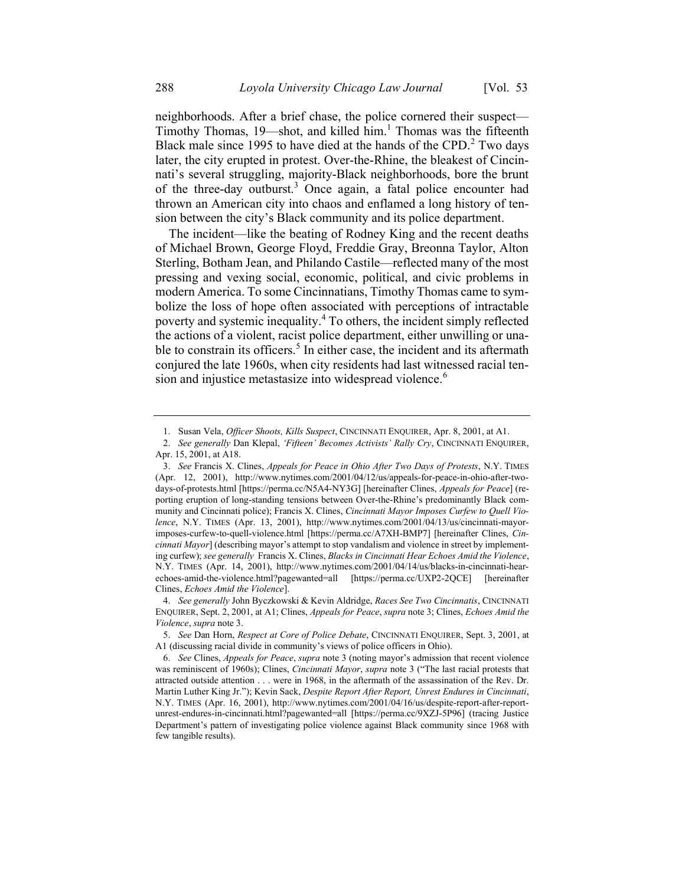neighborhoods. After a brief chase, the police cornered their suspect— Timothy Thomas, 19—shot, and killed him.<sup>1</sup> Thomas was the fifteenth Black male since 1995 to have died at the hands of the CPD. $2$  Two days later, the city erupted in protest. Over-the-Rhine, the bleakest of Cincinnati's several struggling, majority-Black neighborhoods, bore the brunt of the three-day outburst.<sup>3</sup> Once again, a fatal police encounter had thrown an American city into chaos and enflamed a long history of tension between the city's Black community and its police department.

The incident—like the beating of Rodney King and the recent deaths of Michael Brown, George Floyd, Freddie Gray, Breonna Taylor, Alton Sterling, Botham Jean, and Philando Castile—reflected many of the most pressing and vexing social, economic, political, and civic problems in modern America. To some Cincinnatians, Timothy Thomas came to symbolize the loss of hope often associated with perceptions of intractable poverty and systemic inequality.<sup>4</sup> To others, the incident simply reflected the actions of a violent, racist police department, either unwilling or unable to constrain its officers.<sup>5</sup> In either case, the incident and its aftermath conjured the late 1960s, when city residents had last witnessed racial tension and injustice metastasize into widespread violence.<sup>6</sup>

<sup>1.</sup> Susan Vela, Officer Shoots, Kills Suspect, CINCINNATI ENQUIRER, Apr. 8, 2001, at A1.

<sup>2.</sup> See generally Dan Klepal, 'Fifteen' Becomes Activists' Rally Cry, CINCINNATI ENQUIRER, Apr. 15, 2001, at A18.

<sup>3.</sup> See Francis X. Clines, Appeals for Peace in Ohio After Two Days of Protests, N.Y. TIMES (Apr. 12, 2001), http://www.nytimes.com/2001/04/12/us/appeals-for-peace-in-ohio-after-twodays-of-protests.html [https://perma.cc/N5A4-NY3G] [hereinafter Clines, Appeals for Peace] (reporting eruption of long-standing tensions between Over-the-Rhine's predominantly Black community and Cincinnati police); Francis X. Clines, Cincinnati Mayor Imposes Curfew to Quell Violence, N.Y. TIMES (Apr. 13, 2001), http://www.nytimes.com/2001/04/13/us/cincinnati-mayorimposes-curfew-to-quell-violence.html [https://perma.cc/A7XH-BMP7] [hereinafter Clines, Cincinnati Mayor] (describing mayor's attempt to stop vandalism and violence in street by implementing curfew); see generally Francis X. Clines, Blacks in Cincinnati Hear Echoes Amid the Violence, N.Y. TIMES (Apr. 14, 2001), http://www.nytimes.com/2001/04/14/us/blacks-in-cincinnati-hearechoes-amid-the-violence.html?pagewanted=all [https://perma.cc/UXP2-2QCE] [hereinafter Clines, Echoes Amid the Violence].

<sup>4.</sup> See generally John Byczkowski & Kevin Aldridge, Races See Two Cincinnatis, CINCINNATI ENQUIRER, Sept. 2, 2001, at A1; Clines, Appeals for Peace, supra note 3; Clines, Echoes Amid the Violence, supra note 3.

<sup>5.</sup> See Dan Horn, Respect at Core of Police Debate, CINCINNATI ENQUIRER, Sept. 3, 2001, at A1 (discussing racial divide in community's views of police officers in Ohio).

<sup>6.</sup> See Clines, Appeals for Peace, supra note 3 (noting mayor's admission that recent violence was reminiscent of 1960s); Clines, Cincinnati Mayor, supra note 3 ("The last racial protests that attracted outside attention . . . were in 1968, in the aftermath of the assassination of the Rev. Dr. Martin Luther King Jr."); Kevin Sack, Despite Report After Report, Unrest Endures in Cincinnati, N.Y. TIMES (Apr. 16, 2001), http://www.nytimes.com/2001/04/16/us/despite-report-after-reportunrest-endures-in-cincinnati.html?pagewanted=all [https://perma.cc/9XZJ-5P96] (tracing Justice Department's pattern of investigating police violence against Black community since 1968 with few tangible results).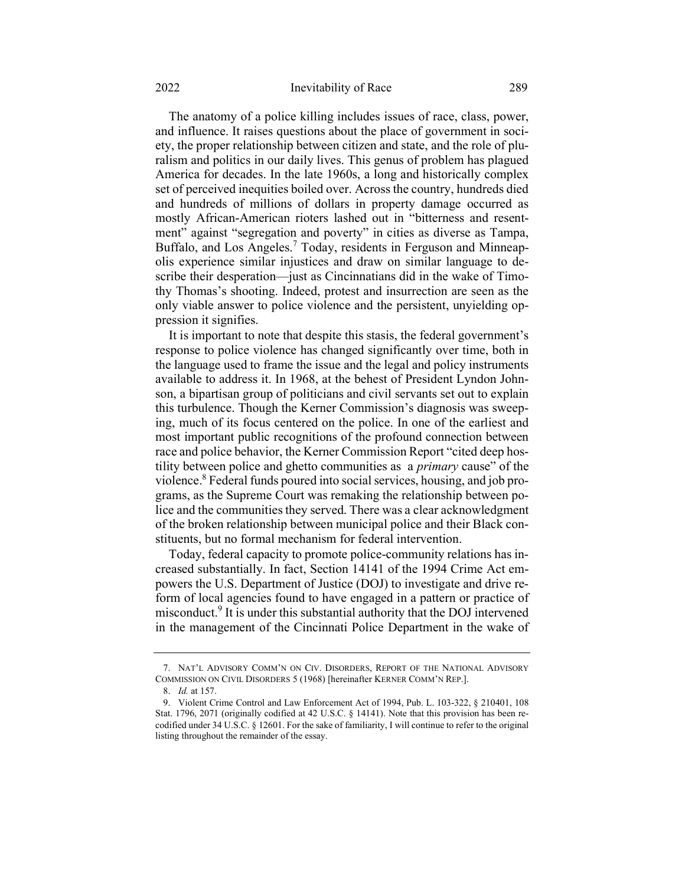The anatomy of a police killing includes issues of race, class, power, and influence. It raises questions about the place of government in society, the proper relationship between citizen and state, and the role of pluralism and politics in our daily lives. This genus of problem has plagued America for decades. In the late 1960s, a long and historically complex set of perceived inequities boiled over. Across the country, hundreds died and hundreds of millions of dollars in property damage occurred as mostly African-American rioters lashed out in "bitterness and resentment" against "segregation and poverty" in cities as diverse as Tampa, Buffalo, and Los Angeles.<sup>7</sup> Today, residents in Ferguson and Minneapolis experience similar injustices and draw on similar language to describe their desperation—just as Cincinnatians did in the wake of Timothy Thomas's shooting. Indeed, protest and insurrection are seen as the only viable answer to police violence and the persistent, unyielding oppression it signifies.

It is important to note that despite this stasis, the federal government's response to police violence has changed significantly over time, both in the language used to frame the issue and the legal and policy instruments available to address it. In 1968, at the behest of President Lyndon Johnson, a bipartisan group of politicians and civil servants set out to explain this turbulence. Though the Kerner Commission's diagnosis was sweeping, much of its focus centered on the police. In one of the earliest and most important public recognitions of the profound connection between race and police behavior, the Kerner Commission Report "cited deep hostility between police and ghetto communities as a *primary* cause" of the violence.<sup>8</sup> Federal funds poured into social services, housing, and job programs, as the Supreme Court was remaking the relationship between police and the communities they served. There was a clear acknowledgment of the broken relationship between municipal police and their Black constituents, but no formal mechanism for federal intervention.

Today, federal capacity to promote police-community relations has increased substantially. In fact, Section 14141 of the 1994 Crime Act empowers the U.S. Department of Justice (DOJ) to investigate and drive reform of local agencies found to have engaged in a pattern or practice of misconduct.<sup>9</sup> It is under this substantial authority that the DOJ intervened in the management of the Cincinnati Police Department in the wake of

<sup>7.</sup> NAT'L ADVISORY COMM'N ON CIV. DISORDERS, REPORT OF THE NATIONAL ADVISORY COMMISSION ON CIVIL DISORDERS 5 (1968) [hereinafter KERNER COMM'N REP.].

<sup>8.</sup> Id. at 157.

<sup>9.</sup> Violent Crime Control and Law Enforcement Act of 1994, Pub. L. 103-322, § 210401, 108 Stat. 1796, 2071 (originally codified at 42 U.S.C. § 14141). Note that this provision has been recodified under 34 U.S.C. § 12601. For the sake of familiarity, I will continue to refer to the original listing throughout the remainder of the essay.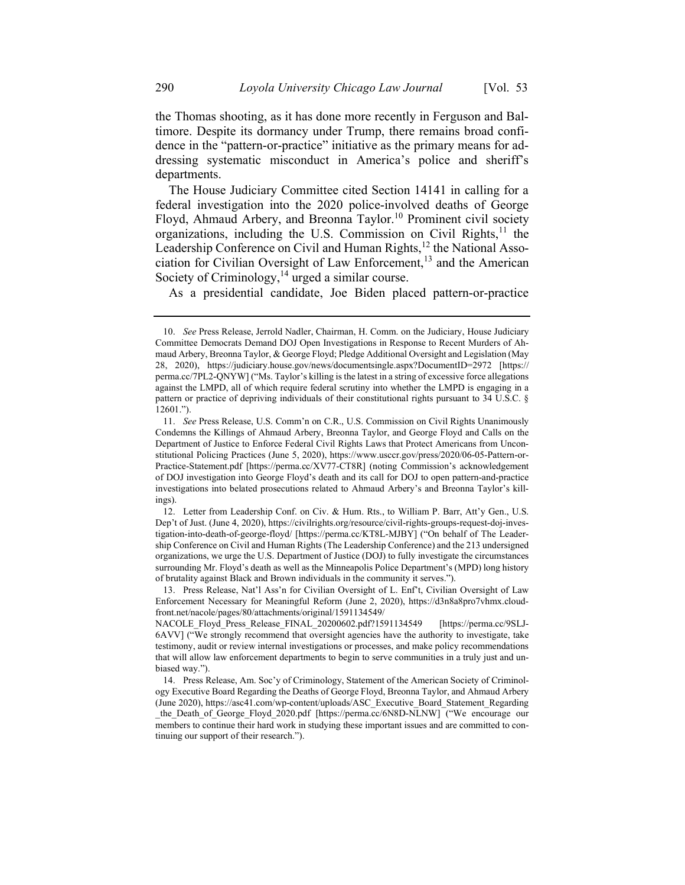the Thomas shooting, as it has done more recently in Ferguson and Baltimore. Despite its dormancy under Trump, there remains broad confidence in the "pattern-or-practice" initiative as the primary means for addressing systematic misconduct in America's police and sheriff's departments.

The House Judiciary Committee cited Section 14141 in calling for a federal investigation into the 2020 police-involved deaths of George Floyd, Ahmaud Arbery, and Breonna Taylor.<sup>10</sup> Prominent civil society organizations, including the U.S. Commission on Civil Rights, $^{11}$  the Leadership Conference on Civil and Human Rights,<sup>12</sup> the National Association for Civilian Oversight of Law Enforcement,<sup>13</sup> and the American Society of Criminology, $14$  urged a similar course.

As a presidential candidate, Joe Biden placed pattern-or-practice

<sup>10.</sup> See Press Release, Jerrold Nadler, Chairman, H. Comm. on the Judiciary, House Judiciary Committee Democrats Demand DOJ Open Investigations in Response to Recent Murders of Ahmaud Arbery, Breonna Taylor, & George Floyd; Pledge Additional Oversight and Legislation (May 28, 2020), https://judiciary.house.gov/news/documentsingle.aspx?DocumentID=2972 [https:// perma.cc/7PL2-QNYW] ("Ms. Taylor's killing is the latest in a string of excessive force allegations against the LMPD, all of which require federal scrutiny into whether the LMPD is engaging in a pattern or practice of depriving individuals of their constitutional rights pursuant to 34 U.S.C. § 12601.").

<sup>11.</sup> See Press Release, U.S. Comm'n on C.R., U.S. Commission on Civil Rights Unanimously Condemns the Killings of Ahmaud Arbery, Breonna Taylor, and George Floyd and Calls on the Department of Justice to Enforce Federal Civil Rights Laws that Protect Americans from Unconstitutional Policing Practices (June 5, 2020), https://www.usccr.gov/press/2020/06-05-Pattern-or-Practice-Statement.pdf [https://perma.cc/XV77-CT8R] (noting Commission's acknowledgement of DOJ investigation into George Floyd's death and its call for DOJ to open pattern-and-practice investigations into belated prosecutions related to Ahmaud Arbery's and Breonna Taylor's killings).

<sup>12.</sup> Letter from Leadership Conf. on Civ. & Hum. Rts., to William P. Barr, Att'y Gen., U.S. Dep't of Just. (June 4, 2020), https://civilrights.org/resource/civil-rights-groups-request-doj-investigation-into-death-of-george-floyd/ [https://perma.cc/KT8L-MJBY] ("On behalf of The Leadership Conference on Civil and Human Rights (The Leadership Conference) and the 213 undersigned organizations, we urge the U.S. Department of Justice (DOJ) to fully investigate the circumstances surrounding Mr. Floyd's death as well as the Minneapolis Police Department's (MPD) long history of brutality against Black and Brown individuals in the community it serves.").

<sup>13.</sup> Press Release, Nat'l Ass'n for Civilian Oversight of L. Enf't, Civilian Oversight of Law Enforcement Necessary for Meaningful Reform (June 2, 2020), https://d3n8a8pro7vhmx.cloudfront.net/nacole/pages/80/attachments/original/1591134549/

NACOLE\_Floyd\_Press\_Release\_FINAL\_20200602.pdf?1591134549 [https://perma.cc/9SLJ-6AVV] ("We strongly recommend that oversight agencies have the authority to investigate, take testimony, audit or review internal investigations or processes, and make policy recommendations that will allow law enforcement departments to begin to serve communities in a truly just and unbiased way.").

<sup>14.</sup> Press Release, Am. Soc'y of Criminology, Statement of the American Society of Criminology Executive Board Regarding the Deaths of George Floyd, Breonna Taylor, and Ahmaud Arbery (June 2020), https://asc41.com/wp-content/uploads/ASC\_Executive\_Board\_Statement\_Regarding \_the\_Death\_of\_George\_Floyd\_2020.pdf [https://perma.cc/6N8D-NLNW] ("We encourage our members to continue their hard work in studying these important issues and are committed to continuing our support of their research.").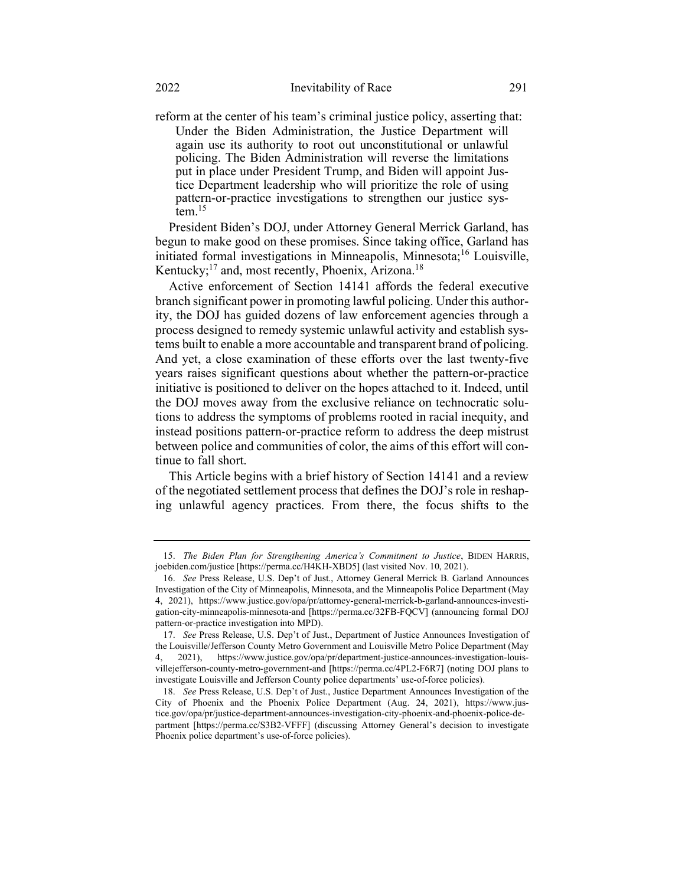reform at the center of his team's criminal justice policy, asserting that: Under the Biden Administration, the Justice Department will again use its authority to root out unconstitutional or unlawful policing. The Biden Administration will reverse the limitations put in place under President Trump, and Biden will appoint Justice Department leadership who will prioritize the role of using pattern-or-practice investigations to strengthen our justice sys- $\mathrm{fcm}$ <sup>15</sup>

President Biden's DOJ, under Attorney General Merrick Garland, has begun to make good on these promises. Since taking office, Garland has initiated formal investigations in Minneapolis, Minnesota;<sup>16</sup> Louisville, Kentucky; $^{17}$  and, most recently, Phoenix, Arizona.<sup>18</sup>

Active enforcement of Section 14141 affords the federal executive branch significant power in promoting lawful policing. Under this authority, the DOJ has guided dozens of law enforcement agencies through a process designed to remedy systemic unlawful activity and establish systems built to enable a more accountable and transparent brand of policing. And yet, a close examination of these efforts over the last twenty-five years raises significant questions about whether the pattern-or-practice initiative is positioned to deliver on the hopes attached to it. Indeed, until the DOJ moves away from the exclusive reliance on technocratic solutions to address the symptoms of problems rooted in racial inequity, and instead positions pattern-or-practice reform to address the deep mistrust between police and communities of color, the aims of this effort will continue to fall short.

This Article begins with a brief history of Section 14141 and a review of the negotiated settlement process that defines the DOJ's role in reshaping unlawful agency practices. From there, the focus shifts to the

<sup>15.</sup> The Biden Plan for Strengthening America's Commitment to Justice, BIDEN HARRIS, joebiden.com/justice [https://perma.cc/H4KH-XBD5] (last visited Nov. 10, 2021).

<sup>16.</sup> See Press Release, U.S. Dep't of Just., Attorney General Merrick B. Garland Announces Investigation of the City of Minneapolis, Minnesota, and the Minneapolis Police Department (May 4, 2021), https://www.justice.gov/opa/pr/attorney-general-merrick-b-garland-announces-investigation-city-minneapolis-minnesota-and [https://perma.cc/32FB-FQCV] (announcing formal DOJ pattern-or-practice investigation into MPD).

<sup>17.</sup> See Press Release, U.S. Dep't of Just., Department of Justice Announces Investigation of the Louisville/Jefferson County Metro Government and Louisville Metro Police Department (May 4, 2021), https://www.justice.gov/opa/pr/department-justice-announces-investigation-louisvillejefferson-county-metro-government-and [https://perma.cc/4PL2-F6R7] (noting DOJ plans to investigate Louisville and Jefferson County police departments' use-of-force policies).

<sup>18.</sup> See Press Release, U.S. Dep't of Just., Justice Department Announces Investigation of the City of Phoenix and the Phoenix Police Department (Aug. 24, 2021), https://www.justice.gov/opa/pr/justice-department-announces-investigation-city-phoenix-and-phoenix-police-department [https://perma.cc/S3B2-VFFF] (discussing Attorney General's decision to investigate Phoenix police department's use-of-force policies).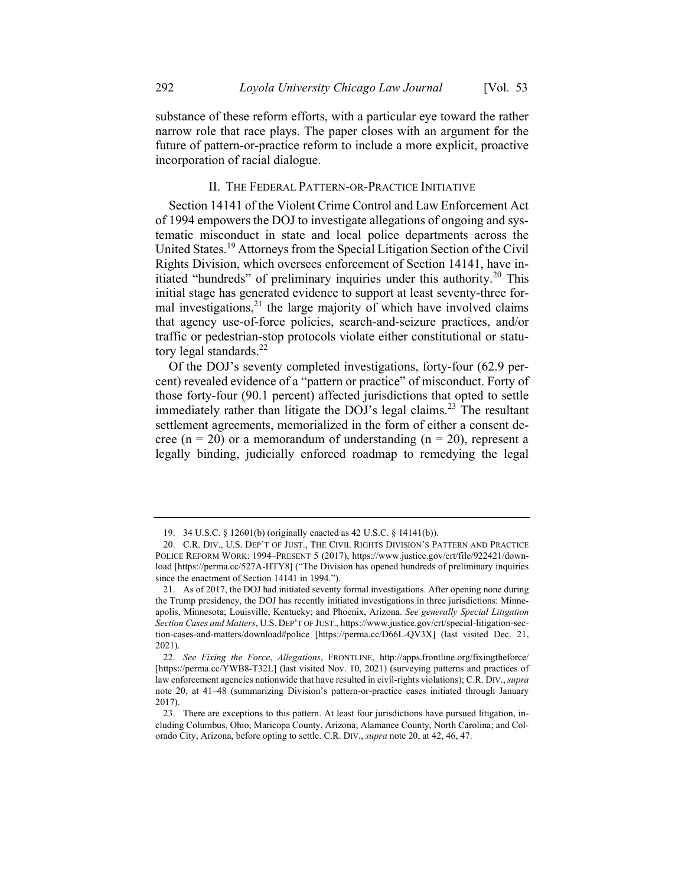substance of these reform efforts, with a particular eye toward the rather narrow role that race plays. The paper closes with an argument for the future of pattern-or-practice reform to include a more explicit, proactive incorporation of racial dialogue.

# II. THE FEDERAL PATTERN-OR-PRACTICE INITIATIVE

Section 14141 of the Violent Crime Control and Law Enforcement Act of 1994 empowers the DOJ to investigate allegations of ongoing and systematic misconduct in state and local police departments across the United States.<sup>19</sup> Attorneys from the Special Litigation Section of the Civil Rights Division, which oversees enforcement of Section 14141, have initiated "hundreds" of preliminary inquiries under this authority.<sup>20</sup> This initial stage has generated evidence to support at least seventy-three formal investigations, $^{21}$  the large majority of which have involved claims that agency use-of-force policies, search-and-seizure practices, and/or traffic or pedestrian-stop protocols violate either constitutional or statutory legal standards.<sup>22</sup>

Of the DOJ's seventy completed investigations, forty-four (62.9 percent) revealed evidence of a "pattern or practice" of misconduct. Forty of those forty-four (90.1 percent) affected jurisdictions that opted to settle immediately rather than litigate the DOJ's legal claims.<sup>23</sup> The resultant settlement agreements, memorialized in the form of either a consent decree (n = 20) or a memorandum of understanding (n = 20), represent a legally binding, judicially enforced roadmap to remedying the legal

<sup>19. 34</sup> U.S.C. § 12601(b) (originally enacted as 42 U.S.C. § 14141(b)).

<sup>20.</sup> C.R. DIV., U.S. DEP'T OF JUST., THE CIVIL RIGHTS DIVISION'S PATTERN AND PRACTICE POLICE REFORM WORK: 1994–PRESENT 5 (2017), https://www.justice.gov/crt/file/922421/download [https://perma.cc/527A-HTY8] ("The Division has opened hundreds of preliminary inquiries since the enactment of Section 14141 in 1994.").

<sup>21.</sup> As of 2017, the DOJ had initiated seventy formal investigations. After opening none during the Trump presidency, the DOJ has recently initiated investigations in three jurisdictions: Minneapolis, Minnesota; Louisville, Kentucky; and Phoenix, Arizona. See generally Special Litigation Section Cases and Matters, U.S. DEP'T OF JUST., https://www.justice.gov/crt/special-litigation-section-cases-and-matters/download#police [https://perma.cc/D66L-QV3X] (last visited Dec. 21, 2021).

<sup>22.</sup> See Fixing the Force, Allegations, FRONTLINE, http://apps.frontline.org/fixingtheforce/ [https://perma.cc/YWB8-T32L] (last visited Nov. 10, 2021) (surveying patterns and practices of law enforcement agencies nationwide that have resulted in civil-rights violations); C.R. DIV., supra note 20, at 41–48 (summarizing Division's pattern-or-practice cases initiated through January 2017).

<sup>23.</sup> There are exceptions to this pattern. At least four jurisdictions have pursued litigation, including Columbus, Ohio; Maricopa County, Arizona; Alamance County, North Carolina; and Colorado City, Arizona, before opting to settle. C.R. DIV., supra note 20, at 42, 46, 47.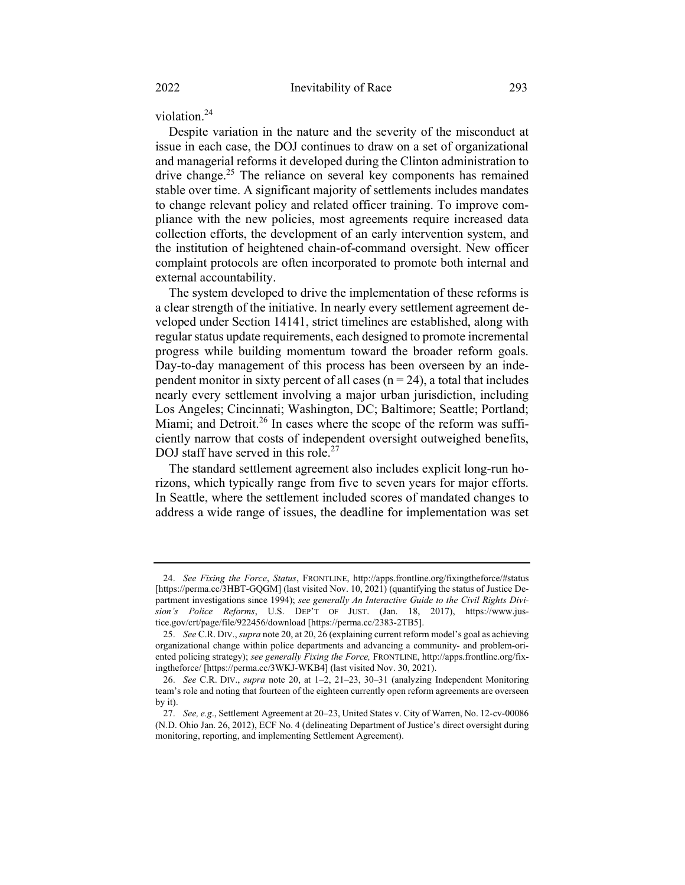violation.<sup>24</sup>

Despite variation in the nature and the severity of the misconduct at issue in each case, the DOJ continues to draw on a set of organizational and managerial reforms it developed during the Clinton administration to drive change.<sup>25</sup> The reliance on several key components has remained stable over time. A significant majority of settlements includes mandates to change relevant policy and related officer training. To improve compliance with the new policies, most agreements require increased data collection efforts, the development of an early intervention system, and the institution of heightened chain-of-command oversight. New officer complaint protocols are often incorporated to promote both internal and external accountability.

The system developed to drive the implementation of these reforms is a clear strength of the initiative. In nearly every settlement agreement developed under Section 14141, strict timelines are established, along with regular status update requirements, each designed to promote incremental progress while building momentum toward the broader reform goals. Day-to-day management of this process has been overseen by an independent monitor in sixty percent of all cases ( $n = 24$ ), a total that includes nearly every settlement involving a major urban jurisdiction, including Los Angeles; Cincinnati; Washington, DC; Baltimore; Seattle; Portland; Miami; and Detroit.<sup>26</sup> In cases where the scope of the reform was sufficiently narrow that costs of independent oversight outweighed benefits, DOJ staff have served in this role.<sup>27</sup>

The standard settlement agreement also includes explicit long-run horizons, which typically range from five to seven years for major efforts. In Seattle, where the settlement included scores of mandated changes to address a wide range of issues, the deadline for implementation was set

<sup>24.</sup> See Fixing the Force, Status, FRONTLINE, http://apps.frontline.org/fixingtheforce/#status [https://perma.cc/3HBT-GQGM] (last visited Nov. 10, 2021) (quantifying the status of Justice Department investigations since 1994); see generally An Interactive Guide to the Civil Rights Division's Police Reforms, U.S. DEP'T OF JUST. (Jan. 18, 2017), https://www.justice.gov/crt/page/file/922456/download [https://perma.cc/2383-2TB5].

<sup>25.</sup> See C.R. DIV., supra note 20, at 20, 26 (explaining current reform model's goal as achieving organizational change within police departments and advancing a community- and problem-oriented policing strategy); see generally Fixing the Force, FRONTLINE, http://apps.frontline.org/fixingtheforce/ [https://perma.cc/3WKJ-WKB4] (last visited Nov. 30, 2021).

<sup>26.</sup> See C.R. DIV., supra note 20, at 1–2, 21–23, 30–31 (analyzing Independent Monitoring team's role and noting that fourteen of the eighteen currently open reform agreements are overseen by it).

<sup>27.</sup> See, e.g., Settlement Agreement at 20–23, United States v. City of Warren, No. 12-cv-00086 (N.D. Ohio Jan. 26, 2012), ECF No. 4 (delineating Department of Justice's direct oversight during monitoring, reporting, and implementing Settlement Agreement).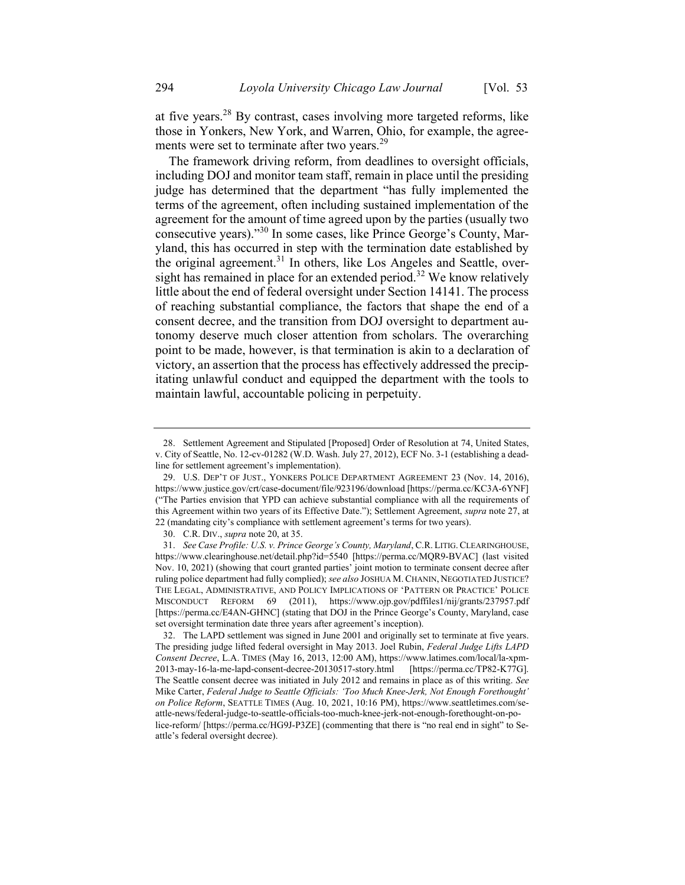at five years. $28$  By contrast, cases involving more targeted reforms, like those in Yonkers, New York, and Warren, Ohio, for example, the agreements were set to terminate after two years.<sup>29</sup>

The framework driving reform, from deadlines to oversight officials, including DOJ and monitor team staff, remain in place until the presiding judge has determined that the department "has fully implemented the terms of the agreement, often including sustained implementation of the agreement for the amount of time agreed upon by the parties (usually two consecutive years)."<sup>30</sup> In some cases, like Prince George's County, Maryland, this has occurred in step with the termination date established by the original agreement.<sup>31</sup> In others, like Los Angeles and Seattle, oversight has remained in place for an extended period.<sup>32</sup> We know relatively little about the end of federal oversight under Section 14141. The process of reaching substantial compliance, the factors that shape the end of a consent decree, and the transition from DOJ oversight to department autonomy deserve much closer attention from scholars. The overarching point to be made, however, is that termination is akin to a declaration of victory, an assertion that the process has effectively addressed the precipitating unlawful conduct and equipped the department with the tools to maintain lawful, accountable policing in perpetuity.

<sup>28.</sup> Settlement Agreement and Stipulated [Proposed] Order of Resolution at 74, United States, v. City of Seattle, No. 12-cv-01282 (W.D. Wash. July 27, 2012), ECF No. 3-1 (establishing a deadline for settlement agreement's implementation).

<sup>29.</sup> U.S. DEP'T OF JUST., YONKERS POLICE DEPARTMENT AGREEMENT 23 (Nov. 14, 2016), https://www.justice.gov/crt/case-document/file/923196/download [https://perma.cc/KC3A-6YNF] ("The Parties envision that YPD can achieve substantial compliance with all the requirements of this Agreement within two years of its Effective Date."); Settlement Agreement, supra note 27, at 22 (mandating city's compliance with settlement agreement's terms for two years).

<sup>30.</sup> C.R. DIV., supra note 20, at 35.

<sup>31.</sup> See Case Profile: U.S. v. Prince George's County, Maryland, C.R. LITIG. CLEARINGHOUSE, https://www.clearinghouse.net/detail.php?id=5540 [https://perma.cc/MQR9-BVAC] (last visited Nov. 10, 2021) (showing that court granted parties' joint motion to terminate consent decree after ruling police department had fully complied); see also JOSHUA M. CHANIN, NEGOTIATED JUSTICE? THE LEGAL, ADMINISTRATIVE, AND POLICY IMPLICATIONS OF 'PATTERN OR PRACTICE' POLICE MISCONDUCT REFORM 69 (2011), https://www.ojp.gov/pdffiles1/nij/grants/237957.pdf [https://perma.cc/E4AN-GHNC] (stating that DOJ in the Prince George's County, Maryland, case set oversight termination date three years after agreement's inception).

<sup>32.</sup> The LAPD settlement was signed in June 2001 and originally set to terminate at five years. The presiding judge lifted federal oversight in May 2013. Joel Rubin, Federal Judge Lifts LAPD Consent Decree, L.A. TIMES (May 16, 2013, 12:00 AM), https://www.latimes.com/local/la-xpm-2013-may-16-la-me-lapd-consent-decree-20130517-story.html [https://perma.cc/TP82-K77G]. The Seattle consent decree was initiated in July 2012 and remains in place as of this writing. See Mike Carter, Federal Judge to Seattle Officials: 'Too Much Knee-Jerk, Not Enough Forethought' on Police Reform, SEATTLE TIMES (Aug. 10, 2021, 10:16 PM), https://www.seattletimes.com/seattle-news/federal-judge-to-seattle-officials-too-much-knee-jerk-not-enough-forethought-on-police-reform/ [https://perma.cc/HG9J-P3ZE] (commenting that there is "no real end in sight" to Seattle's federal oversight decree).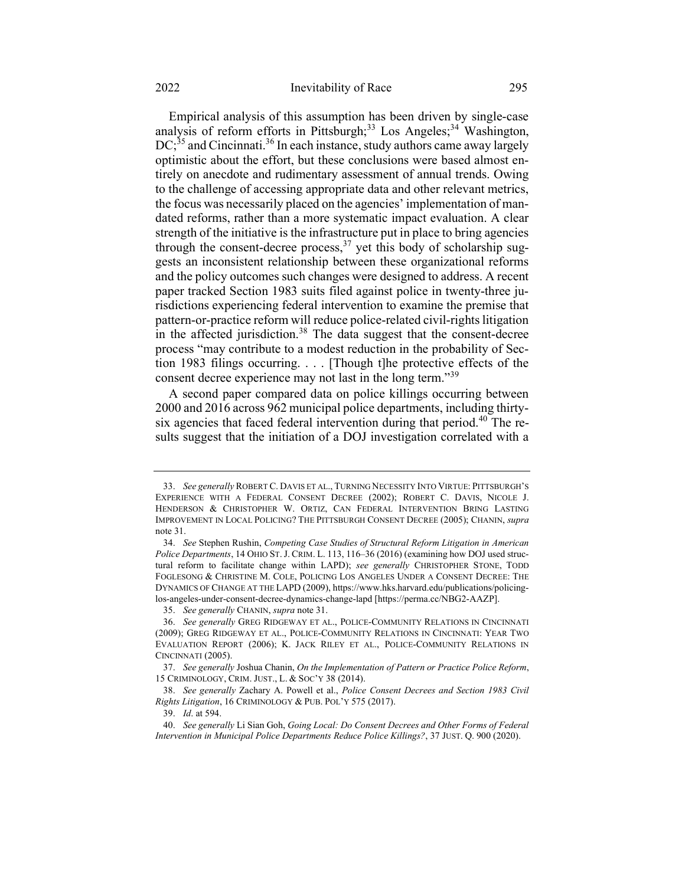Empirical analysis of this assumption has been driven by single-case analysis of reform efforts in Pittsburgh;<sup>33</sup> Los Angeles;<sup>34</sup> Washington,  $DC$ ;<sup>35</sup> and Cincinnati.<sup>36</sup> In each instance, study authors came away largely optimistic about the effort, but these conclusions were based almost entirely on anecdote and rudimentary assessment of annual trends. Owing to the challenge of accessing appropriate data and other relevant metrics, the focus was necessarily placed on the agencies' implementation of mandated reforms, rather than a more systematic impact evaluation. A clear strength of the initiative is the infrastructure put in place to bring agencies through the consent-decree process,<sup>37</sup> yet this body of scholarship suggests an inconsistent relationship between these organizational reforms and the policy outcomes such changes were designed to address. A recent paper tracked Section 1983 suits filed against police in twenty-three jurisdictions experiencing federal intervention to examine the premise that pattern-or-practice reform will reduce police-related civil-rights litigation in the affected jurisdiction. $38$  The data suggest that the consent-decree process "may contribute to a modest reduction in the probability of Section 1983 filings occurring. . . . [Though t]he protective effects of the consent decree experience may not last in the long term."<sup>39</sup>

A second paper compared data on police killings occurring between 2000 and 2016 across 962 municipal police departments, including thirtysix agencies that faced federal intervention during that period.<sup>40</sup> The results suggest that the initiation of a DOJ investigation correlated with a

<sup>33.</sup> See generally ROBERT C. DAVIS ET AL., TURNING NECESSITY INTO VIRTUE: PITTSBURGH'S EXPERIENCE WITH A FEDERAL CONSENT DECREE (2002); ROBERT C. DAVIS, NICOLE J. HENDERSON & CHRISTOPHER W. ORTIZ, CAN FEDERAL INTERVENTION BRING LASTING IMPROVEMENT IN LOCAL POLICING? THE PITTSBURGH CONSENT DECREE (2005); CHANIN, supra note 31.

<sup>34.</sup> See Stephen Rushin, Competing Case Studies of Structural Reform Litigation in American Police Departments, 14 OHIO ST. J. CRIM. L. 113, 116-36 (2016) (examining how DOJ used structural reform to facilitate change within LAPD); see generally CHRISTOPHER STONE, TODD FOGLESONG & CHRISTINE M. COLE, POLICING LOS ANGELES UNDER A CONSENT DECREE: THE DYNAMICS OF CHANGE AT THE LAPD (2009), https://www.hks.harvard.edu/publications/policinglos-angeles-under-consent-decree-dynamics-change-lapd [https://perma.cc/NBG2-AAZP].

<sup>35.</sup> See generally CHANIN, supra note 31.

<sup>36.</sup> See generally GREG RIDGEWAY ET AL., POLICE-COMMUNITY RELATIONS IN CINCINNATI (2009); GREG RIDGEWAY ET AL., POLICE-COMMUNITY RELATIONS IN CINCINNATI: YEAR TWO EVALUATION REPORT (2006); K. JACK RILEY ET AL., POLICE-COMMUNITY RELATIONS IN CINCINNATI (2005).

<sup>37.</sup> See generally Joshua Chanin, On the Implementation of Pattern or Practice Police Reform, 15 CRIMINOLOGY, CRIM. JUST., L. & SOC'Y 38 (2014).

<sup>38.</sup> See generally Zachary A. Powell et al., Police Consent Decrees and Section 1983 Civil Rights Litigation, 16 CRIMINOLOGY & PUB. POL'Y 575 (2017).

<sup>39.</sup> Id. at 594.

<sup>40.</sup> See generally Li Sian Goh, Going Local: Do Consent Decrees and Other Forms of Federal Intervention in Municipal Police Departments Reduce Police Killings?, 37 JUST. Q. 900 (2020).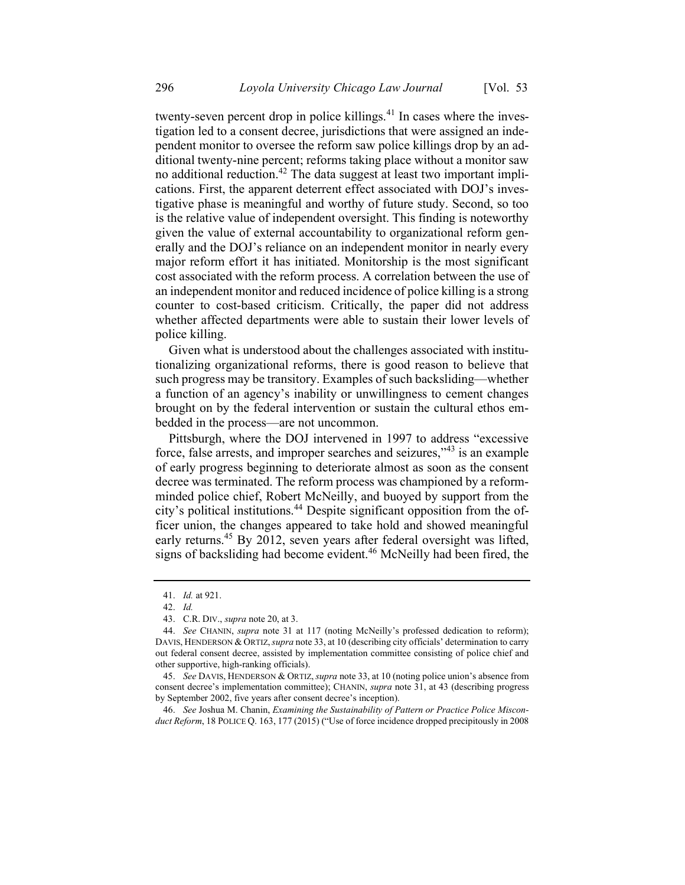twenty-seven percent drop in police killings.<sup>41</sup> In cases where the investigation led to a consent decree, jurisdictions that were assigned an independent monitor to oversee the reform saw police killings drop by an additional twenty-nine percent; reforms taking place without a monitor saw no additional reduction.<sup>42</sup> The data suggest at least two important implications. First, the apparent deterrent effect associated with DOJ's investigative phase is meaningful and worthy of future study. Second, so too is the relative value of independent oversight. This finding is noteworthy given the value of external accountability to organizational reform generally and the DOJ's reliance on an independent monitor in nearly every major reform effort it has initiated. Monitorship is the most significant cost associated with the reform process. A correlation between the use of an independent monitor and reduced incidence of police killing is a strong counter to cost-based criticism. Critically, the paper did not address whether affected departments were able to sustain their lower levels of police killing.

Given what is understood about the challenges associated with institutionalizing organizational reforms, there is good reason to believe that such progress may be transitory. Examples of such backsliding—whether a function of an agency's inability or unwillingness to cement changes brought on by the federal intervention or sustain the cultural ethos embedded in the process—are not uncommon.

Pittsburgh, where the DOJ intervened in 1997 to address "excessive force, false arrests, and improper searches and seizures,"<sup>43</sup> is an example of early progress beginning to deteriorate almost as soon as the consent decree was terminated. The reform process was championed by a reformminded police chief, Robert McNeilly, and buoyed by support from the city's political institutions.<sup>44</sup> Despite significant opposition from the officer union, the changes appeared to take hold and showed meaningful early returns.<sup>45</sup> By 2012, seven years after federal oversight was lifted, signs of backsliding had become evident.<sup>46</sup> McNeilly had been fired, the

46. See Joshua M. Chanin, Examining the Sustainability of Pattern or Practice Police Misconduct Reform, 18 POLICE Q. 163, 177 (2015) ("Use of force incidence dropped precipitously in 2008

<sup>41.</sup> Id. at 921.

<sup>42.</sup> Id.

<sup>43.</sup> C.R. DIV., supra note 20, at 3.

<sup>44.</sup> See CHANIN, supra note 31 at 117 (noting McNeilly's professed dedication to reform); DAVIS, HENDERSON & ORTIZ, *supra* note 33, at 10 (describing city officials' determination to carry out federal consent decree, assisted by implementation committee consisting of police chief and other supportive, high-ranking officials).

<sup>45.</sup> See DAVIS, HENDERSON & ORTIZ, supra note 33, at 10 (noting police union's absence from consent decree's implementation committee); CHANIN, *supra* note 31, at 43 (describing progress by September 2002, five years after consent decree's inception).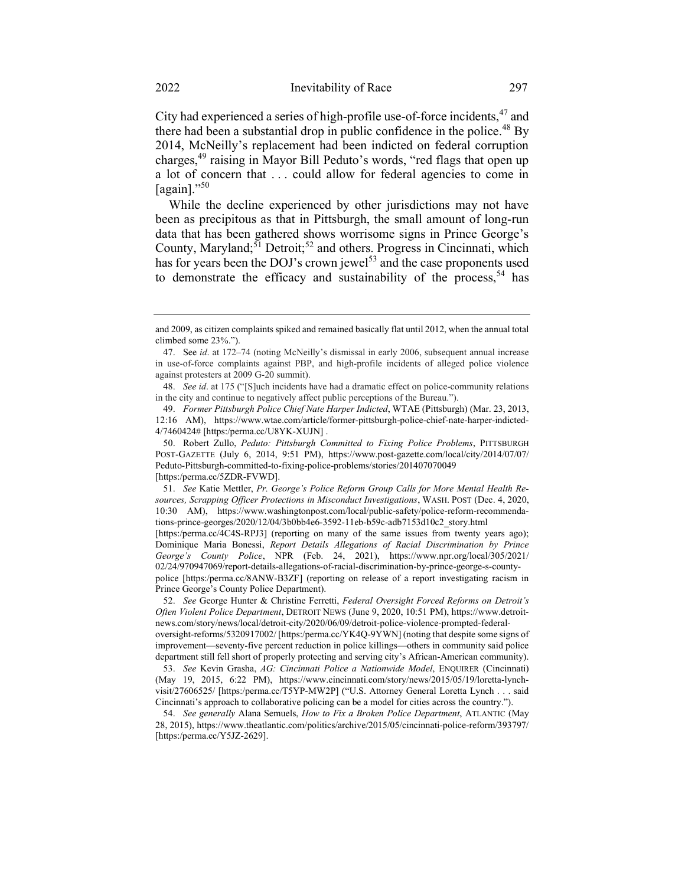City had experienced a series of high-profile use-of-force incidents,<sup>47</sup> and there had been a substantial drop in public confidence in the police.<sup>48</sup> By 2014, McNeilly's replacement had been indicted on federal corruption charges,<sup>49</sup> raising in Mayor Bill Peduto's words, "red flags that open up a lot of concern that . . . could allow for federal agencies to come in [again]." $50$ 

While the decline experienced by other jurisdictions may not have been as precipitous as that in Pittsburgh, the small amount of long-run data that has been gathered shows worrisome signs in Prince George's County, Maryland;  $51$  Detroit;<sup>52</sup> and others. Progress in Cincinnati, which has for years been the DOJ's crown jewel<sup>53</sup> and the case proponents used to demonstrate the efficacy and sustainability of the process,  $54$  has

51. See Katie Mettler, Pr. George's Police Reform Group Calls for More Mental Health Resources, Scrapping Officer Protections in Misconduct Investigations, WASH. POST (Dec. 4, 2020, 10:30 AM), https://www.washingtonpost.com/local/public-safety/police-reform-recommendations-prince-georges/2020/12/04/3b0bb4e6-3592-11eb-b59c-adb7153d10c2\_story.html

[https:/perma.cc/4C4S-RPJ3] (reporting on many of the same issues from twenty years ago); Dominique Maria Bonessi, Report Details Allegations of Racial Discrimination by Prince George's County Police, NPR (Feb. 24, 2021), https://www.npr.org/local/305/2021/ 02/24/970947069/report-details-allegations-of-racial-discrimination-by-prince-george-s-countypolice [https:/perma.cc/8ANW-B3ZF] (reporting on release of a report investigating racism in Prince George's County Police Department).

oversight-reforms/5320917002/ [https:/perma.cc/YK4Q-9YWN] (noting that despite some signs of improvement—seventy-five percent reduction in police killings—others in community said police department still fell short of properly protecting and serving city's African-American community).

53. See Kevin Grasha, AG: Cincinnati Police a Nationwide Model, ENQUIRER (Cincinnati) (May 19, 2015, 6:22 PM), https://www.cincinnati.com/story/news/2015/05/19/loretta-lynchvisit/27606525/ [https:/perma.cc/T5YP-MW2P] ("U.S. Attorney General Loretta Lynch . . . said Cincinnati's approach to collaborative policing can be a model for cities across the country.").

54. See generally Alana Semuels, How to Fix a Broken Police Department, ATLANTIC (May 28, 2015), https://www.theatlantic.com/politics/archive/2015/05/cincinnati-police-reform/393797/ [https:/perma.cc/Y5JZ-2629].

and 2009, as citizen complaints spiked and remained basically flat until 2012, when the annual total climbed some 23%.").

<sup>47.</sup> See id. at 172–74 (noting McNeilly's dismissal in early 2006, subsequent annual increase in use-of-force complaints against PBP, and high-profile incidents of alleged police violence against protesters at 2009 G-20 summit).

<sup>48.</sup> See id. at 175 ("[S]uch incidents have had a dramatic effect on police-community relations in the city and continue to negatively affect public perceptions of the Bureau.").

<sup>49.</sup> Former Pittsburgh Police Chief Nate Harper Indicted, WTAE (Pittsburgh) (Mar. 23, 2013, 12:16 AM), https://www.wtae.com/article/former-pittsburgh-police-chief-nate-harper-indicted-4/7460424# [https:/perma.cc/U8YK-XUJN] .

<sup>50.</sup> Robert Zullo, Peduto: Pittsburgh Committed to Fixing Police Problems, PITTSBURGH POST-GAZETTE (July 6, 2014, 9:51 PM), https://www.post-gazette.com/local/city/2014/07/07/ Peduto-Pittsburgh-committed-to-fixing-police-problems/stories/201407070049 [https:/perma.cc/5ZDR-FVWD].

<sup>52.</sup> See George Hunter & Christine Ferretti, Federal Oversight Forced Reforms on Detroit's Often Violent Police Department, DETROIT NEWS (June 9, 2020, 10:51 PM), https://www.detroitnews.com/story/news/local/detroit-city/2020/06/09/detroit-police-violence-prompted-federal-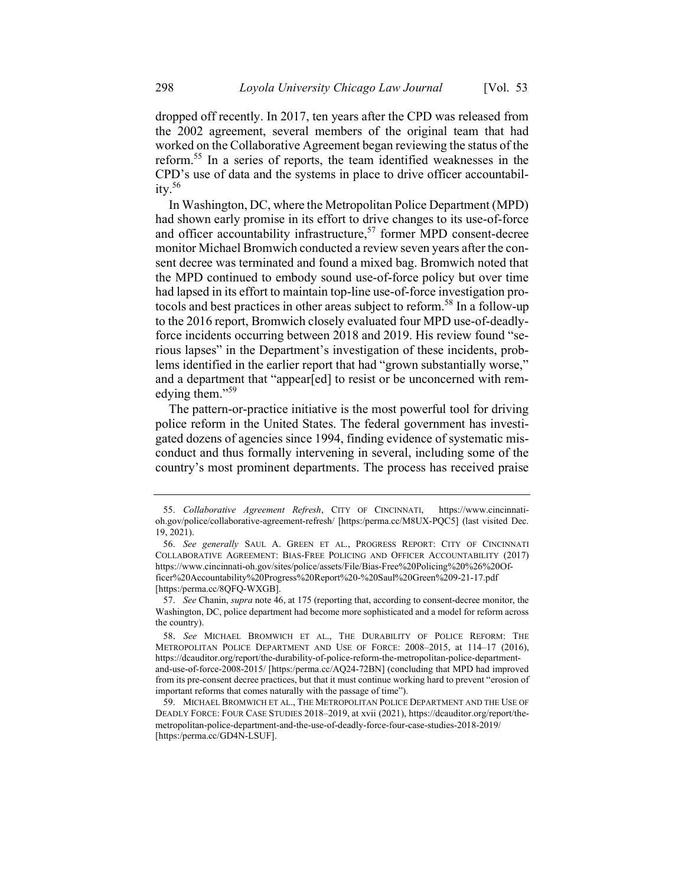dropped off recently. In 2017, ten years after the CPD was released from the 2002 agreement, several members of the original team that had worked on the Collaborative Agreement began reviewing the status of the reform.<sup>55</sup> In a series of reports, the team identified weaknesses in the CPD's use of data and the systems in place to drive officer accountability.<sup>56</sup>

In Washington, DC, where the Metropolitan Police Department (MPD) had shown early promise in its effort to drive changes to its use-of-force and officer accountability infrastructure, $57$  former MPD consent-decree monitor Michael Bromwich conducted a review seven years after the consent decree was terminated and found a mixed bag. Bromwich noted that the MPD continued to embody sound use-of-force policy but over time had lapsed in its effort to maintain top-line use-of-force investigation protocols and best practices in other areas subject to reform.<sup>58</sup> In a follow-up to the 2016 report, Bromwich closely evaluated four MPD use-of-deadlyforce incidents occurring between 2018 and 2019. His review found "serious lapses" in the Department's investigation of these incidents, problems identified in the earlier report that had "grown substantially worse," and a department that "appear[ed] to resist or be unconcerned with remedying them."<sup>59</sup>

The pattern-or-practice initiative is the most powerful tool for driving police reform in the United States. The federal government has investigated dozens of agencies since 1994, finding evidence of systematic misconduct and thus formally intervening in several, including some of the country's most prominent departments. The process has received praise

<sup>55.</sup> Collaborative Agreement Refresh, CITY OF CINCINNATI, https://www.cincinnatioh.gov/police/collaborative-agreement-refresh/ [https:/perma.cc/M8UX-PQC5] (last visited Dec. 19, 2021).

<sup>56.</sup> See generally SAUL A. GREEN ET AL., PROGRESS REPORT: CITY OF CINCINNATI COLLABORATIVE AGREEMENT: BIAS-FREE POLICING AND OFFICER ACCOUNTABILITY (2017) https://www.cincinnati-oh.gov/sites/police/assets/File/Bias-Free%20Policing%20%26%20Officer%20Accountability%20Progress%20Report%20-%20Saul%20Green%209-21-17.pdf [https:/perma.cc/8QFQ-WXGB].

<sup>57.</sup> See Chanin, *supra* note 46, at 175 (reporting that, according to consent-decree monitor, the Washington, DC, police department had become more sophisticated and a model for reform across the country).

<sup>58</sup>. See MICHAEL BROMWICH ET AL., THE DURABILITY OF POLICE REFORM: THE METROPOLITAN POLICE DEPARTMENT AND USE OF FORCE: 2008–2015, at 114–17 (2016), https://dcauditor.org/report/the-durability-of-police-reform-the-metropolitan-police-departmentand-use-of-force-2008-2015/ [https:/perma.cc/AQ24-72BN] (concluding that MPD had improved from its pre-consent decree practices, but that it must continue working hard to prevent "erosion of important reforms that comes naturally with the passage of time").

<sup>59.</sup> MICHAEL BROMWICH ET AL., THE METROPOLITAN POLICE DEPARTMENT AND THE USE OF DEADLY FORCE: FOUR CASE STUDIES 2018–2019, at xvii (2021), https://dcauditor.org/report/themetropolitan-police-department-and-the-use-of-deadly-force-four-case-studies-2018-2019/ [https:/perma.cc/GD4N-LSUF].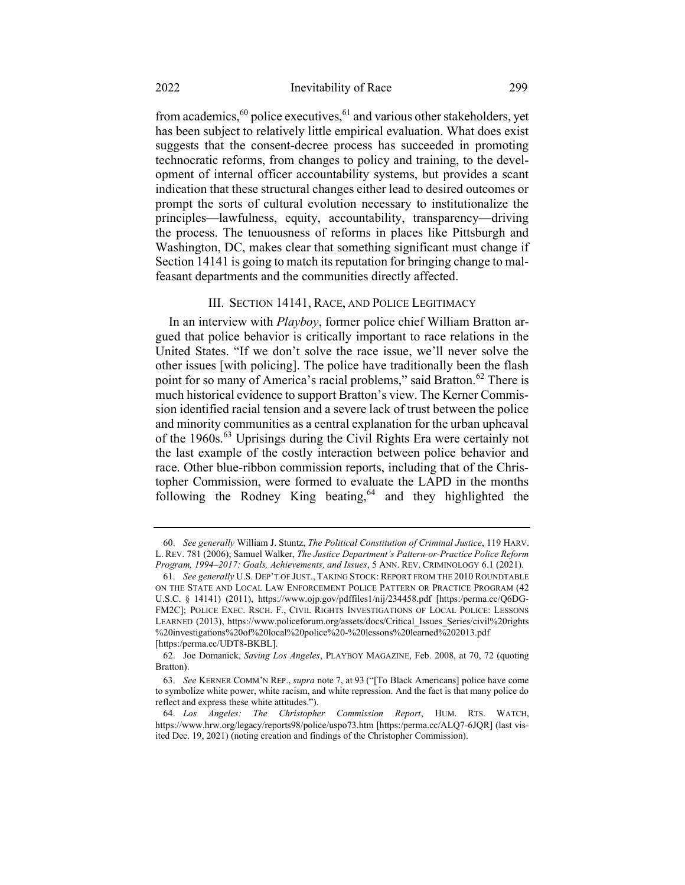from academics,<sup>60</sup> police executives,<sup>61</sup> and various other stakeholders, yet has been subject to relatively little empirical evaluation. What does exist suggests that the consent-decree process has succeeded in promoting technocratic reforms, from changes to policy and training, to the development of internal officer accountability systems, but provides a scant indication that these structural changes either lead to desired outcomes or prompt the sorts of cultural evolution necessary to institutionalize the principles—lawfulness, equity, accountability, transparency—driving the process. The tenuousness of reforms in places like Pittsburgh and Washington, DC, makes clear that something significant must change if Section 14141 is going to match its reputation for bringing change to malfeasant departments and the communities directly affected.

### III. SECTION 14141, RACE, AND POLICE LEGITIMACY

In an interview with *Playboy*, former police chief William Bratton argued that police behavior is critically important to race relations in the United States. "If we don't solve the race issue, we'll never solve the other issues [with policing]. The police have traditionally been the flash point for so many of America's racial problems," said Bratton.<sup>62</sup> There is much historical evidence to support Bratton's view. The Kerner Commission identified racial tension and a severe lack of trust between the police and minority communities as a central explanation for the urban upheaval of the 1960s.<sup>63</sup> Uprisings during the Civil Rights Era were certainly not the last example of the costly interaction between police behavior and race. Other blue-ribbon commission reports, including that of the Christopher Commission, were formed to evaluate the LAPD in the months following the Rodney King beating,  $64$  and they highlighted the

<sup>60.</sup> See generally William J. Stuntz, The Political Constitution of Criminal Justice, 119 HARV. L. REV. 781 (2006); Samuel Walker, The Justice Department's Pattern-or-Practice Police Reform Program, 1994–2017: Goals, Achievements, and Issues, 5 ANN. REV. CRIMINOLOGY 6.1 (2021).

<sup>61.</sup> See generally U.S. DEP'T OF JUST., TAKING STOCK: REPORT FROM THE 2010 ROUNDTABLE ON THE STATE AND LOCAL LAW ENFORCEMENT POLICE PATTERN OR PRACTICE PROGRAM (42 U.S.C. § 14141) (2011), https://www.ojp.gov/pdffiles1/nij/234458.pdf [https:/perma.cc/Q6DG-FM2C]; POLICE EXEC. RSCH. F., CIVIL RIGHTS INVESTIGATIONS OF LOCAL POLICE: LESSONS LEARNED (2013), https://www.policeforum.org/assets/docs/Critical Issues Series/civil%20rights %20investigations%20of%20local%20police%20-%20lessons%20learned%202013.pdf [https:/perma.cc/UDT8-BKBL].

<sup>62.</sup> Joe Domanick, Saving Los Angeles, PLAYBOY MAGAZINE, Feb. 2008, at 70, 72 (quoting Bratton).

<sup>63.</sup> See KERNER COMM'N REP., supra note 7, at 93 ("[To Black Americans] police have come to symbolize white power, white racism, and white repression. And the fact is that many police do reflect and express these white attitudes.").

<sup>64.</sup> Los Angeles: The Christopher Commission Report, HUM. RTS. WATCH, https://www.hrw.org/legacy/reports98/police/uspo73.htm [https:/perma.cc/ALQ7-6JQR] (last visited Dec. 19, 2021) (noting creation and findings of the Christopher Commission).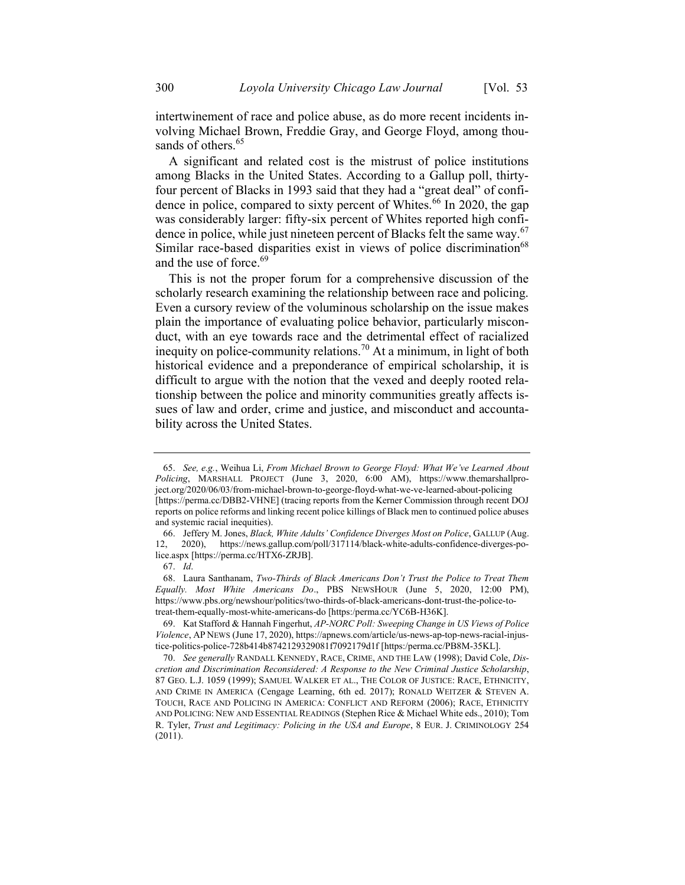intertwinement of race and police abuse, as do more recent incidents involving Michael Brown, Freddie Gray, and George Floyd, among thousands of others.<sup>65</sup>

A significant and related cost is the mistrust of police institutions among Blacks in the United States. According to a Gallup poll, thirtyfour percent of Blacks in 1993 said that they had a "great deal" of confidence in police, compared to sixty percent of Whites.<sup>66</sup> In 2020, the gap was considerably larger: fifty-six percent of Whites reported high confidence in police, while just nineteen percent of Blacks felt the same way.  $67$ Similar race-based disparities exist in views of police discrimination<sup>68</sup> and the use of force.<sup>69</sup>

This is not the proper forum for a comprehensive discussion of the scholarly research examining the relationship between race and policing. Even a cursory review of the voluminous scholarship on the issue makes plain the importance of evaluating police behavior, particularly misconduct, with an eye towards race and the detrimental effect of racialized inequity on police-community relations.<sup>70</sup> At a minimum, in light of both historical evidence and a preponderance of empirical scholarship, it is difficult to argue with the notion that the vexed and deeply rooted relationship between the police and minority communities greatly affects issues of law and order, crime and justice, and misconduct and accountability across the United States.

<sup>65.</sup> See, e.g., Weihua Li, From Michael Brown to George Floyd: What We've Learned About Policing, MARSHALL PROJECT (June 3, 2020, 6:00 AM), https://www.themarshallproject.org/2020/06/03/from-michael-brown-to-george-floyd-what-we-ve-learned-about-policing [https://perma.cc/DBB2-VHNE] (tracing reports from the Kerner Commission through recent DOJ reports on police reforms and linking recent police killings of Black men to continued police abuses and systemic racial inequities).

<sup>66.</sup> Jeffery M. Jones, Black, White Adults' Confidence Diverges Most on Police, GALLUP (Aug. 12, 2020), https://news.gallup.com/poll/317114/black-white-adults-confidence-diverges-police.aspx [https://perma.cc/HTX6-ZRJB].

<sup>67.</sup> Id.

<sup>68.</sup> Laura Santhanam, Two-Thirds of Black Americans Don't Trust the Police to Treat Them Equally. Most White Americans Do., PBS NEWSHOUR (June 5, 2020, 12:00 PM), https://www.pbs.org/newshour/politics/two-thirds-of-black-americans-dont-trust-the-police-totreat-them-equally-most-white-americans-do [https:/perma.cc/YC6B-H36K].

<sup>69.</sup> Kat Stafford & Hannah Fingerhut, AP-NORC Poll: Sweeping Change in US Views of Police Violence, AP NEWS (June 17, 2020), https://apnews.com/article/us-news-ap-top-news-racial-injustice-politics-police-728b414b8742129329081f7092179d1f [https:/perma.cc/PB8M-35KL].

<sup>70.</sup> See generally RANDALL KENNEDY, RACE, CRIME, AND THE LAW (1998); David Cole, Discretion and Discrimination Reconsidered: A Response to the New Criminal Justice Scholarship, 87 GEO. L.J. 1059 (1999); SAMUEL WALKER ET AL., THE COLOR OF JUSTICE: RACE, ETHNICITY, AND CRIME IN AMERICA (Cengage Learning, 6th ed. 2017); RONALD WEITZER & STEVEN A. TOUCH, RACE AND POLICING IN AMERICA: CONFLICT AND REFORM (2006); RACE, ETHNICITY AND POLICING: NEW AND ESSENTIAL READINGS (Stephen Rice & Michael White eds., 2010); Tom R. Tyler, Trust and Legitimacy: Policing in the USA and Europe, 8 EUR. J. CRIMINOLOGY 254 (2011).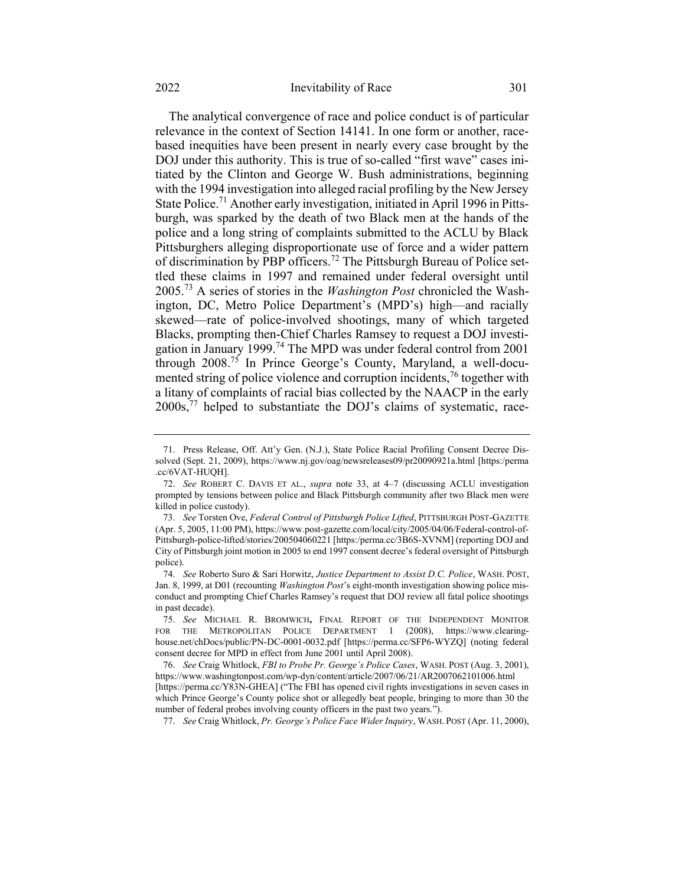#### 2022 Inevitability of Race 301

The analytical convergence of race and police conduct is of particular relevance in the context of Section 14141. In one form or another, racebased inequities have been present in nearly every case brought by the DOJ under this authority. This is true of so-called "first wave" cases initiated by the Clinton and George W. Bush administrations, beginning with the 1994 investigation into alleged racial profiling by the New Jersey State Police.<sup>71</sup> Another early investigation, initiated in April 1996 in Pittsburgh, was sparked by the death of two Black men at the hands of the police and a long string of complaints submitted to the ACLU by Black Pittsburghers alleging disproportionate use of force and a wider pattern of discrimination by PBP officers.<sup>72</sup> The Pittsburgh Bureau of Police settled these claims in 1997 and remained under federal oversight until  $2005<sup>73</sup>$  A series of stories in the *Washington Post* chronicled the Washington, DC, Metro Police Department's (MPD's) high—and racially skewed—rate of police-involved shootings, many of which targeted Blacks, prompting then-Chief Charles Ramsey to request a DOJ investigation in January 1999.<sup>74</sup> The MPD was under federal control from 2001 through  $2008$ .<sup>75</sup> In Prince George's County, Maryland, a well-documented string of police violence and corruption incidents,<sup>76</sup> together with a litany of complaints of racial bias collected by the NAACP in the early 2000s,<sup>77</sup> helped to substantiate the DOJ's claims of systematic, race-

77. See Craig Whitlock, Pr. George's Police Face Wider Inquiry, WASH. POST (Apr. 11, 2000),

<sup>71.</sup> Press Release, Off. Att'y Gen. (N.J.), State Police Racial Profiling Consent Decree Dissolved (Sept. 21, 2009), https://www.nj.gov/oag/newsreleases09/pr20090921a.html [https:/perma .cc/6VAT-HUQH].

<sup>72.</sup> See ROBERT C. DAVIS ET AL., supra note 33, at 4–7 (discussing ACLU investigation prompted by tensions between police and Black Pittsburgh community after two Black men were killed in police custody).

<sup>73.</sup> See Torsten Ove, Federal Control of Pittsburgh Police Lifted, PITTSBURGH POST-GAZETTE (Apr. 5, 2005, 11:00 PM), https://www.post-gazette.com/local/city/2005/04/06/Federal-control-of-Pittsburgh-police-lifted/stories/200504060221 [https:/perma.cc/3B6S-XVNM] (reporting DOJ and City of Pittsburgh joint motion in 2005 to end 1997 consent decree's federal oversight of Pittsburgh police).

<sup>74.</sup> See Roberto Suro & Sari Horwitz, Justice Department to Assist D.C. Police, WASH. POST, Jan. 8, 1999, at D01 (recounting *Washington Post*'s eight-month investigation showing police misconduct and prompting Chief Charles Ramsey's request that DOJ review all fatal police shootings in past decade).

<sup>75.</sup> See MICHAEL R. BROMWICH, FINAL REPORT OF THE INDEPENDENT MONITOR FOR THE METROPOLITAN POLICE DEPARTMENT 1 (2008), https://www.clearinghouse.net/chDocs/public/PN-DC-0001-0032.pdf [https://perma.cc/SFP6-WYZQ] (noting federal consent decree for MPD in effect from June 2001 until April 2008).

<sup>76.</sup> See Craig Whitlock, FBI to Probe Pr. George's Police Cases, WASH. POST (Aug. 3, 2001), https://www.washingtonpost.com/wp-dyn/content/article/2007/06/21/AR2007062101006.html [https://perma.cc/Y83N-GHEA] ("The FBI has opened civil rights investigations in seven cases in which Prince George's County police shot or allegedly beat people, bringing to more than 30 the number of federal probes involving county officers in the past two years.").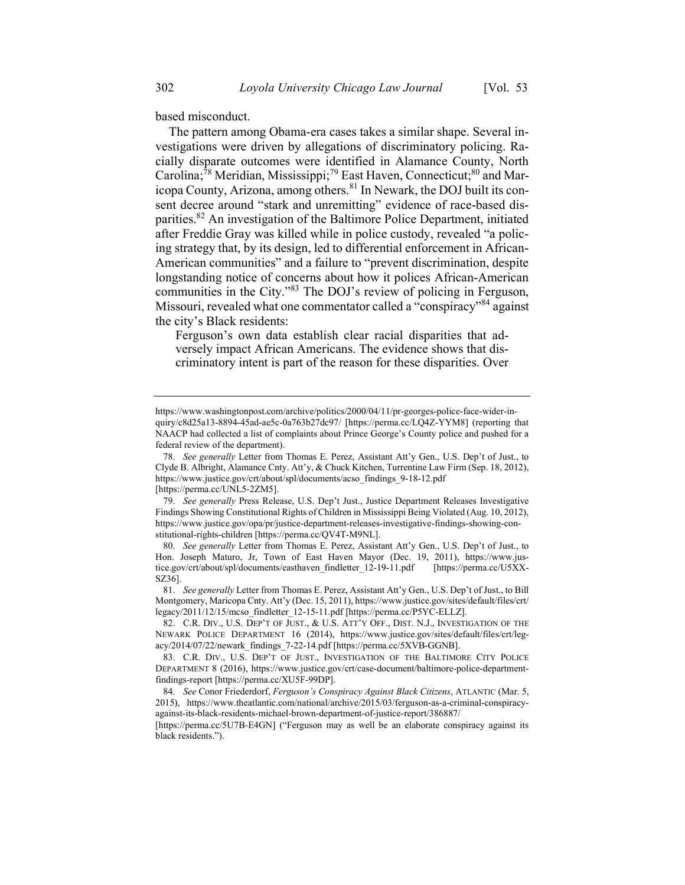based misconduct.

The pattern among Obama-era cases takes a similar shape. Several investigations were driven by allegations of discriminatory policing. Racially disparate outcomes were identified in Alamance County, North Carolina;<sup>78</sup> Meridian, Mississippi;<sup>79</sup> East Haven, Connecticut;<sup>80</sup> and Maricopa County, Arizona, among others.<sup>81</sup> In Newark, the DOJ built its consent decree around "stark and unremitting" evidence of race-based disparities.<sup>82</sup> An investigation of the Baltimore Police Department, initiated after Freddie Gray was killed while in police custody, revealed "a policing strategy that, by its design, led to differential enforcement in African-American communities" and a failure to "prevent discrimination, despite longstanding notice of concerns about how it polices African-American communities in the City."<sup>83</sup> The DOJ's review of policing in Ferguson, Missouri, revealed what one commentator called a "conspiracy"<sup>84</sup> against the city's Black residents:

Ferguson's own data establish clear racial disparities that adversely impact African Americans. The evidence shows that discriminatory intent is part of the reason for these disparities. Over

https://www.washingtonpost.com/archive/politics/2000/04/11/pr-georges-police-face-wider-inquiry/c8d25a13-8894-45ad-ae5c-0a763b27dc97/ [https://perma.cc/LQ4Z-YYM8] (reporting that NAACP had collected a list of complaints about Prince George's County police and pushed for a federal review of the department).

<sup>78.</sup> See generally Letter from Thomas E. Perez, Assistant Att'y Gen., U.S. Dep't of Just., to Clyde B. Albright, Alamance Cnty. Att'y, & Chuck Kitchen, Turrentine Law Firm (Sep. 18, 2012), https://www.justice.gov/crt/about/spl/documents/acso\_findings\_9-18-12.pdf

<sup>[</sup>https://perma.cc/UNL5-2ZM5].

<sup>79.</sup> See generally Press Release, U.S. Dep't Just., Justice Department Releases Investigative Findings Showing Constitutional Rights of Children in Mississippi Being Violated (Aug. 10, 2012), https://www.justice.gov/opa/pr/justice-department-releases-investigative-findings-showing-constitutional-rights-children [https://perma.cc/QV4T-M9NL].

<sup>80.</sup> See generally Letter from Thomas E. Perez, Assistant Att'y Gen., U.S. Dep't of Just., to Hon. Joseph Maturo, Jr, Town of East Haven Mayor (Dec. 19, 2011), https://www.justice.gov/crt/about/spl/documents/easthaven\_findletter\_12-19-11.pdf [https://perma.cc/U5XX-SZ36].

<sup>81.</sup> See generally Letter from Thomas E. Perez, Assistant Att'y Gen., U.S. Dep't of Just., to Bill Montgomery, Maricopa Cnty. Att'y (Dec. 15, 2011), https://www.justice.gov/sites/default/files/crt/ legacy/2011/12/15/mcso\_findletter\_12-15-11.pdf [https://perma.cc/P5YC-ELLZ].

<sup>82.</sup> C.R. DIV., U.S. DEP'T OF JUST., & U.S. ATT'Y OFF., DIST. N.J., INVESTIGATION OF THE NEWARK POLICE DEPARTMENT 16 (2014), https://www.justice.gov/sites/default/files/crt/legacy/2014/07/22/newark\_findings\_7-22-14.pdf [https://perma.cc/5XVB-GGNB].

<sup>83.</sup> C.R. DIV., U.S. DEP'T OF JUST., INVESTIGATION OF THE BALTIMORE CITY POLICE DEPARTMENT 8 (2016), https://www.justice.gov/crt/case-document/baltimore-police-departmentfindings-report [https://perma.cc/XU5F-99DP].

<sup>84.</sup> See Conor Friederdorf, Ferguson's Conspiracy Against Black Citizens, ATLANTIC (Mar. 5, 2015), https://www.theatlantic.com/national/archive/2015/03/ferguson-as-a-criminal-conspiracyagainst-its-black-residents-michael-brown-department-of-justice-report/386887/

<sup>[</sup>https://perma.cc/5U7B-E4GN] ("Ferguson may as well be an elaborate conspiracy against its black residents.").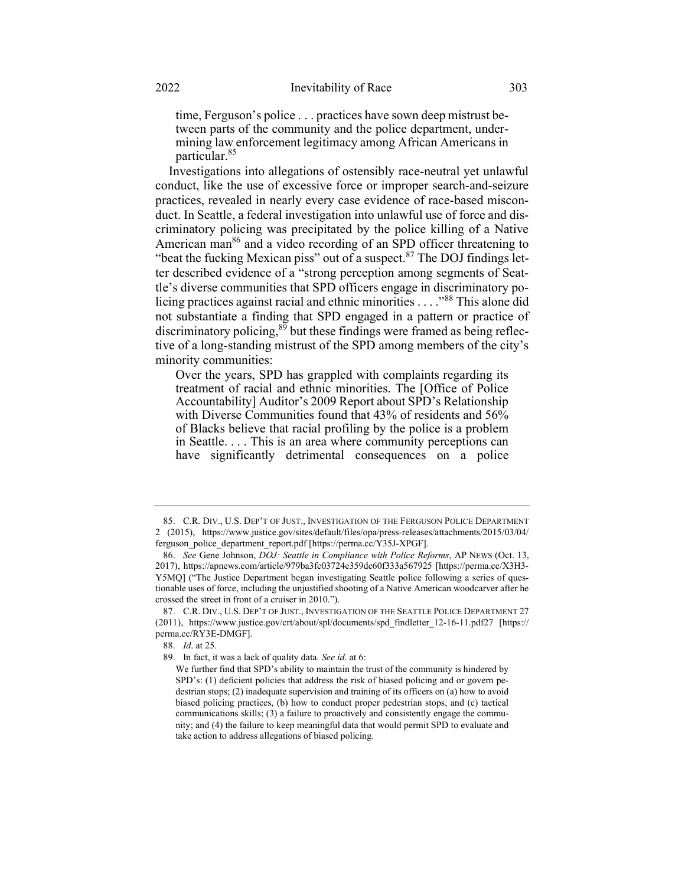time, Ferguson's police . . . practices have sown deep mistrust between parts of the community and the police department, undermining law enforcement legitimacy among African Americans in particular.<sup>85</sup>

Investigations into allegations of ostensibly race-neutral yet unlawful conduct, like the use of excessive force or improper search-and-seizure practices, revealed in nearly every case evidence of race-based misconduct. In Seattle, a federal investigation into unlawful use of force and discriminatory policing was precipitated by the police killing of a Native American man<sup>86</sup> and a video recording of an SPD officer threatening to "beat the fucking Mexican piss" out of a suspect. $87$  The DOJ findings letter described evidence of a "strong perception among segments of Seattle's diverse communities that SPD officers engage in discriminatory policing practices against racial and ethnic minorities . . . ."<sup>88</sup> This alone did not substantiate a finding that SPD engaged in a pattern or practice of discriminatory policing, $89$  but these findings were framed as being reflective of a long-standing mistrust of the SPD among members of the city's minority communities:

Over the years, SPD has grappled with complaints regarding its treatment of racial and ethnic minorities. The [Office of Police Accountability] Auditor's 2009 Report about SPD's Relationship with Diverse Communities found that 43% of residents and 56% of Blacks believe that racial profiling by the police is a problem in Seattle. . . . This is an area where community perceptions can have significantly detrimental consequences on a police

<sup>85.</sup> C.R. DIV., U.S. DEP'T OF JUST., INVESTIGATION OF THE FERGUSON POLICE DEPARTMENT 2 (2015), https://www.justice.gov/sites/default/files/opa/press-releases/attachments/2015/03/04/ ferguson\_police\_department\_report.pdf [https://perma.cc/Y35J-XPGF].

<sup>86.</sup> See Gene Johnson, *DOJ: Seattle in Compliance with Police Reforms*, AP NEWS (Oct. 13, 2017), https://apnews.com/article/979ba3fc03724e359dc60f333a567925 [https://perma.cc/X3H3- Y5MQ] ("The Justice Department began investigating Seattle police following a series of questionable uses of force, including the unjustified shooting of a Native American woodcarver after he crossed the street in front of a cruiser in 2010.").

<sup>87.</sup> C.R. DIV., U.S. DEP'T OF JUST., INVESTIGATION OF THE SEATTLE POLICE DEPARTMENT 27 (2011), https://www.justice.gov/crt/about/spl/documents/spd\_findletter\_12-16-11.pdf27 [https:// perma.cc/RY3E-DMGF].

<sup>88.</sup> Id. at 25.

<sup>89.</sup> In fact, it was a lack of quality data. See id. at 6:

We further find that SPD's ability to maintain the trust of the community is hindered by SPD's: (1) deficient policies that address the risk of biased policing and or govern pedestrian stops; (2) inadequate supervision and training of its officers on (a) how to avoid biased policing practices, (b) how to conduct proper pedestrian stops, and (c) tactical communications skills; (3) a failure to proactively and consistently engage the community; and (4) the failure to keep meaningful data that would permit SPD to evaluate and take action to address allegations of biased policing.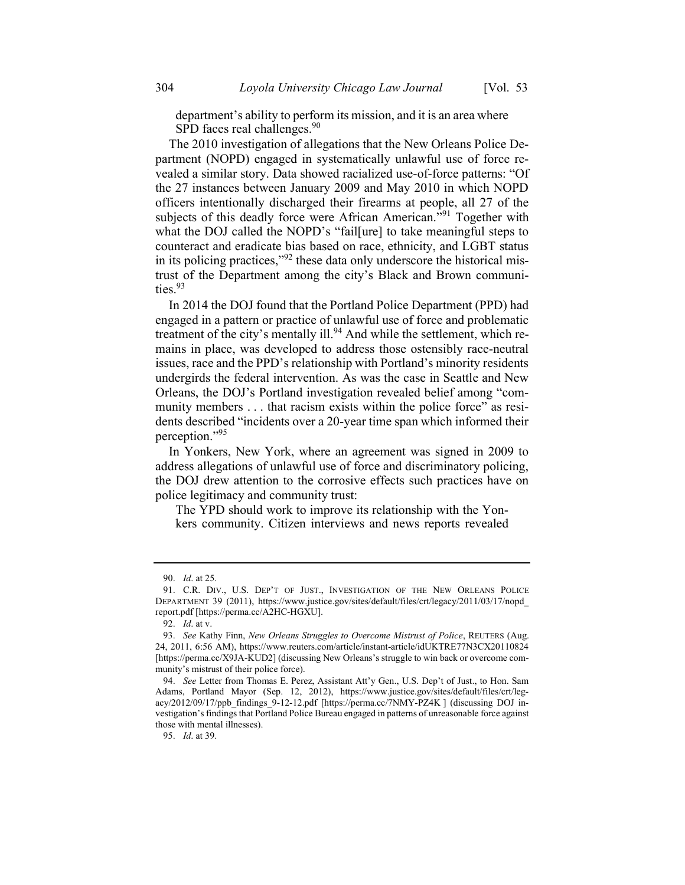department's ability to perform its mission, and it is an area where SPD faces real challenges.<sup>90</sup>

The 2010 investigation of allegations that the New Orleans Police Department (NOPD) engaged in systematically unlawful use of force revealed a similar story. Data showed racialized use-of-force patterns: "Of the 27 instances between January 2009 and May 2010 in which NOPD officers intentionally discharged their firearms at people, all 27 of the subjects of this deadly force were African American."<sup>91</sup> Together with what the DOJ called the NOPD's "fail[ure] to take meaningful steps to counteract and eradicate bias based on race, ethnicity, and LGBT status in its policing practices,"<sup>92</sup> these data only underscore the historical mistrust of the Department among the city's Black and Brown communities.<sup>93</sup>

In 2014 the DOJ found that the Portland Police Department (PPD) had engaged in a pattern or practice of unlawful use of force and problematic treatment of the city's mentally ill.<sup>94</sup> And while the settlement, which remains in place, was developed to address those ostensibly race-neutral issues, race and the PPD's relationship with Portland's minority residents undergirds the federal intervention. As was the case in Seattle and New Orleans, the DOJ's Portland investigation revealed belief among "community members . . . that racism exists within the police force" as residents described "incidents over a 20-year time span which informed their perception."<sup>95</sup>

In Yonkers, New York, where an agreement was signed in 2009 to address allegations of unlawful use of force and discriminatory policing, the DOJ drew attention to the corrosive effects such practices have on police legitimacy and community trust:

The YPD should work to improve its relationship with the Yonkers community. Citizen interviews and news reports revealed

<sup>90.</sup> Id. at 25.

<sup>91.</sup> C.R. DIV., U.S. DEP'T OF JUST., INVESTIGATION OF THE NEW ORLEANS POLICE DEPARTMENT 39 (2011), https://www.justice.gov/sites/default/files/crt/legacy/2011/03/17/nopd\_ report.pdf [https://perma.cc/A2HC-HGXU].

<sup>92.</sup> Id. at v.

<sup>93.</sup> See Kathy Finn, New Orleans Struggles to Overcome Mistrust of Police, REUTERS (Aug. 24, 2011, 6:56 AM), https://www.reuters.com/article/instant-article/idUKTRE77N3CX20110824 [https://perma.cc/X9JA-KUD2] (discussing New Orleans's struggle to win back or overcome community's mistrust of their police force).

<sup>94.</sup> See Letter from Thomas E. Perez, Assistant Att'y Gen., U.S. Dep't of Just., to Hon. Sam Adams, Portland Mayor (Sep. 12, 2012), https://www.justice.gov/sites/default/files/crt/legacy/2012/09/17/ppb\_findings\_9-12-12.pdf [https://perma.cc/7NMY-PZ4K ] (discussing DOJ investigation's findings that Portland Police Bureau engaged in patterns of unreasonable force against those with mental illnesses).

<sup>95.</sup> Id. at 39.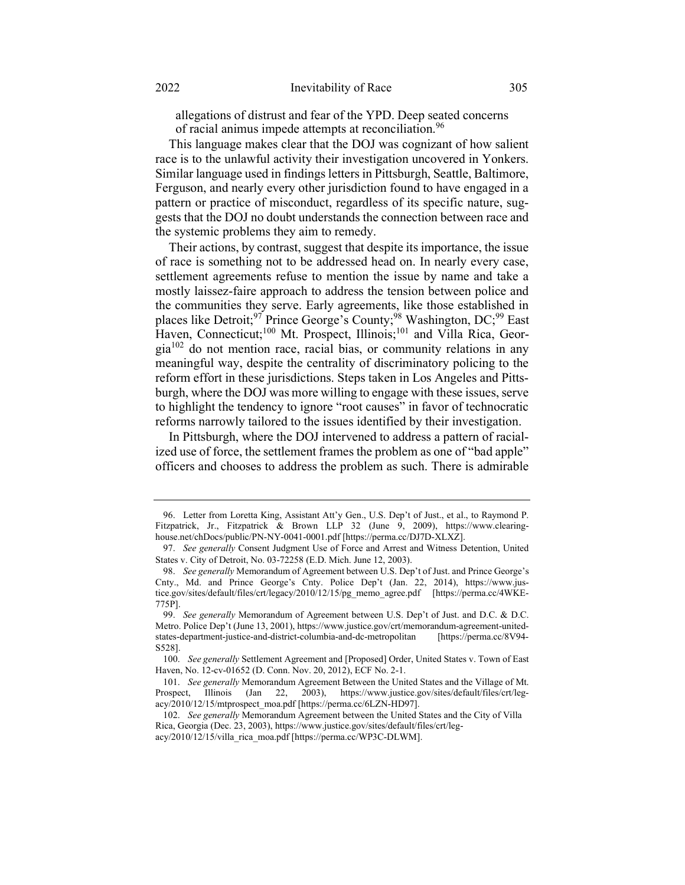allegations of distrust and fear of the YPD. Deep seated concerns of racial animus impede attempts at reconciliation.<sup>96</sup>

This language makes clear that the DOJ was cognizant of how salient race is to the unlawful activity their investigation uncovered in Yonkers. Similar language used in findings letters in Pittsburgh, Seattle, Baltimore, Ferguson, and nearly every other jurisdiction found to have engaged in a pattern or practice of misconduct, regardless of its specific nature, suggests that the DOJ no doubt understands the connection between race and the systemic problems they aim to remedy.

Their actions, by contrast, suggest that despite its importance, the issue of race is something not to be addressed head on. In nearly every case, settlement agreements refuse to mention the issue by name and take a mostly laissez-faire approach to address the tension between police and the communities they serve. Early agreements, like those established in places like Detroit;<sup>97</sup> Prince George's County;<sup>98</sup> Washington, DC;<sup>99</sup> East Haven, Connecticut;<sup>100</sup> Mt. Prospect, Illinois;<sup>101</sup> and Villa Rica, Geor $gia<sup>102</sup>$  do not mention race, racial bias, or community relations in any meaningful way, despite the centrality of discriminatory policing to the reform effort in these jurisdictions. Steps taken in Los Angeles and Pittsburgh, where the DOJ was more willing to engage with these issues, serve to highlight the tendency to ignore "root causes" in favor of technocratic reforms narrowly tailored to the issues identified by their investigation.

In Pittsburgh, where the DOJ intervened to address a pattern of racialized use of force, the settlement frames the problem as one of "bad apple" officers and chooses to address the problem as such. There is admirable

<sup>96.</sup> Letter from Loretta King, Assistant Att'y Gen., U.S. Dep't of Just., et al., to Raymond P. Fitzpatrick, Jr., Fitzpatrick & Brown LLP 32 (June 9, 2009), https://www.clearinghouse.net/chDocs/public/PN-NY-0041-0001.pdf [https://perma.cc/DJ7D-XLXZ].

<sup>97.</sup> See generally Consent Judgment Use of Force and Arrest and Witness Detention, United States v. City of Detroit, No. 03-72258 (E.D. Mich. June 12, 2003).

<sup>98.</sup> See generally Memorandum of Agreement between U.S. Dep't of Just. and Prince George's Cnty., Md. and Prince George's Cnty. Police Dep't (Jan. 22, 2014), https://www.justice.gov/sites/default/files/crt/legacy/2010/12/15/pg\_memo\_agree.pdf [https://perma.cc/4WKE-775P].

<sup>99.</sup> See generally Memorandum of Agreement between U.S. Dep't of Just. and D.C. & D.C. Metro. Police Dep't (June 13, 2001), https://www.justice.gov/crt/memorandum-agreement-unitedstates-department-justice-and-district-columbia-and-dc-metropolitan [https://perma.cc/8V94- S528].

<sup>100.</sup> See generally Settlement Agreement and [Proposed] Order, United States v. Town of East Haven, No. 12-cv-01652 (D. Conn. Nov. 20, 2012), ECF No. 2-1.

<sup>101.</sup> See generally Memorandum Agreement Between the United States and the Village of Mt. Prospect, Illinois (Jan 22, 2003), https://www.justice.gov/sites/default/files/crt/legacy/2010/12/15/mtprospect\_moa.pdf [https://perma.cc/6LZN-HD97].

<sup>102.</sup> See generally Memorandum Agreement between the United States and the City of Villa Rica, Georgia (Dec. 23, 2003), https://www.justice.gov/sites/default/files/crt/legacy/2010/12/15/villa\_rica\_moa.pdf [https://perma.cc/WP3C-DLWM].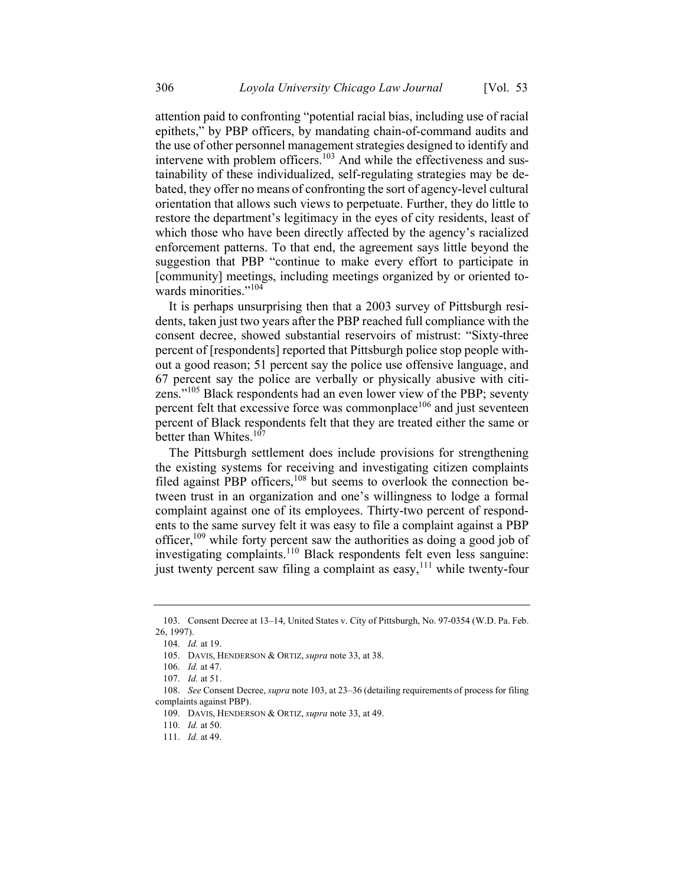attention paid to confronting "potential racial bias, including use of racial epithets," by PBP officers, by mandating chain-of-command audits and the use of other personnel management strategies designed to identify and intervene with problem officers.<sup>103</sup> And while the effectiveness and sustainability of these individualized, self-regulating strategies may be debated, they offer no means of confronting the sort of agency-level cultural orientation that allows such views to perpetuate. Further, they do little to restore the department's legitimacy in the eyes of city residents, least of which those who have been directly affected by the agency's racialized enforcement patterns. To that end, the agreement says little beyond the suggestion that PBP "continue to make every effort to participate in [community] meetings, including meetings organized by or oriented towards minorities."<sup>104</sup>

It is perhaps unsurprising then that a 2003 survey of Pittsburgh residents, taken just two years after the PBP reached full compliance with the consent decree, showed substantial reservoirs of mistrust: "Sixty-three percent of [respondents] reported that Pittsburgh police stop people without a good reason; 51 percent say the police use offensive language, and 67 percent say the police are verbally or physically abusive with citizens."<sup>105</sup> Black respondents had an even lower view of the PBP; seventy percent felt that excessive force was commonplace<sup>106</sup> and just seventeen percent of Black respondents felt that they are treated either the same or better than Whites.<sup>107</sup>

The Pittsburgh settlement does include provisions for strengthening the existing systems for receiving and investigating citizen complaints filed against PBP officers,<sup>108</sup> but seems to overlook the connection between trust in an organization and one's willingness to lodge a formal complaint against one of its employees. Thirty-two percent of respondents to the same survey felt it was easy to file a complaint against a PBP officer,<sup>109</sup> while forty percent saw the authorities as doing a good job of investigating complaints.<sup>110</sup> Black respondents felt even less sanguine: just twenty percent saw filing a complaint as easy, $111$  while twenty-four

<sup>103.</sup> Consent Decree at 13–14, United States v. City of Pittsburgh, No. 97-0354 (W.D. Pa. Feb. 26, 1997).

<sup>104.</sup> Id. at 19.

<sup>105.</sup> DAVIS, HENDERSON & ORTIZ, supra note 33, at 38.

<sup>106.</sup> Id. at 47.

<sup>107.</sup> Id. at 51.

<sup>108.</sup> See Consent Decree, *supra* note 103, at 23–36 (detailing requirements of process for filing complaints against PBP).

<sup>109.</sup> DAVIS, HENDERSON & ORTIZ, supra note 33, at 49.

<sup>110.</sup> Id. at 50.

<sup>111.</sup> Id. at 49.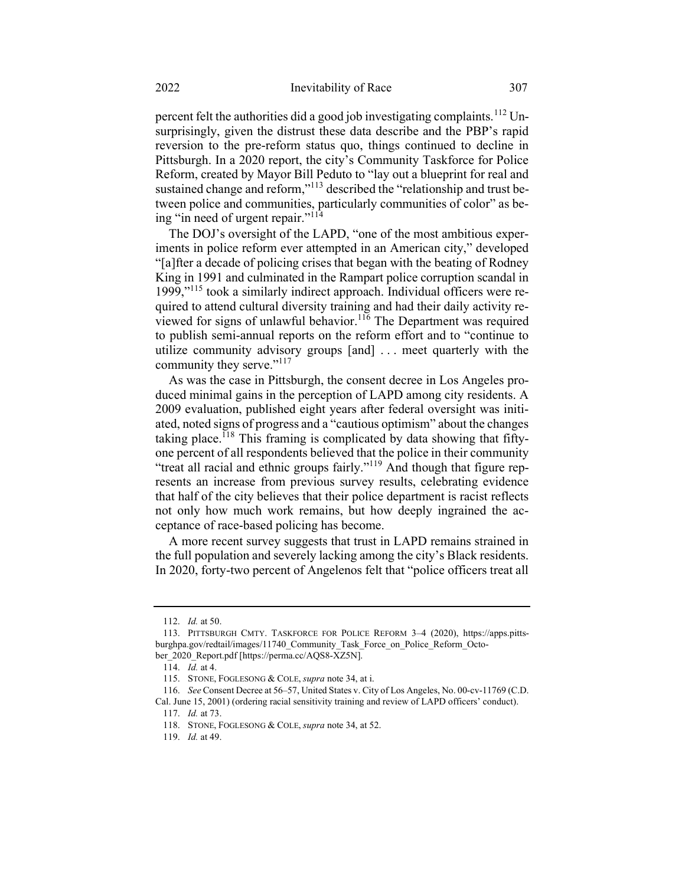percent felt the authorities did a good job investigating complaints.<sup>112</sup> Unsurprisingly, given the distrust these data describe and the PBP's rapid reversion to the pre-reform status quo, things continued to decline in Pittsburgh. In a 2020 report, the city's Community Taskforce for Police Reform, created by Mayor Bill Peduto to "lay out a blueprint for real and sustained change and reform,"<sup>113</sup> described the "relationship and trust between police and communities, particularly communities of color" as being "in need of urgent repair."<sup>114</sup>

The DOJ's oversight of the LAPD, "one of the most ambitious experiments in police reform ever attempted in an American city," developed "[a]fter a decade of policing crises that began with the beating of Rodney King in 1991 and culminated in the Rampart police corruption scandal in 1999,"<sup>115</sup> took a similarly indirect approach. Individual officers were required to attend cultural diversity training and had their daily activity reviewed for signs of unlawful behavior.<sup>116</sup> The Department was required to publish semi-annual reports on the reform effort and to "continue to utilize community advisory groups [and] . . . meet quarterly with the community they serve."<sup>117</sup>

As was the case in Pittsburgh, the consent decree in Los Angeles produced minimal gains in the perception of LAPD among city residents. A 2009 evaluation, published eight years after federal oversight was initiated, noted signs of progress and a "cautious optimism" about the changes taking place.<sup>118</sup> This framing is complicated by data showing that fiftyone percent of all respondents believed that the police in their community "treat all racial and ethnic groups fairly."<sup>119</sup> And though that figure represents an increase from previous survey results, celebrating evidence that half of the city believes that their police department is racist reflects not only how much work remains, but how deeply ingrained the acceptance of race-based policing has become.

A more recent survey suggests that trust in LAPD remains strained in the full population and severely lacking among the city's Black residents. In 2020, forty-two percent of Angelenos felt that "police officers treat all

<sup>112.</sup> Id. at 50.

<sup>113.</sup> PITTSBURGH CMTY. TASKFORCE FOR POLICE REFORM 3–4 (2020), https://apps.pittsburghpa.gov/redtail/images/11740\_Community\_Task\_Force\_on\_Police\_Reform\_October\_2020\_Report.pdf [https://perma.cc/AQS8-XZ5N].

<sup>114.</sup> Id. at 4.

<sup>115.</sup> STONE, FOGLESONG & COLE, supra note 34, at i.

<sup>116.</sup> See Consent Decree at 56–57, United States v. City of Los Angeles, No. 00-cv-11769 (C.D. Cal. June 15, 2001) (ordering racial sensitivity training and review of LAPD officers' conduct).

<sup>117.</sup> Id. at 73.

<sup>118.</sup> STONE, FOGLESONG & COLE, supra note 34, at 52.

<sup>119.</sup> Id. at 49.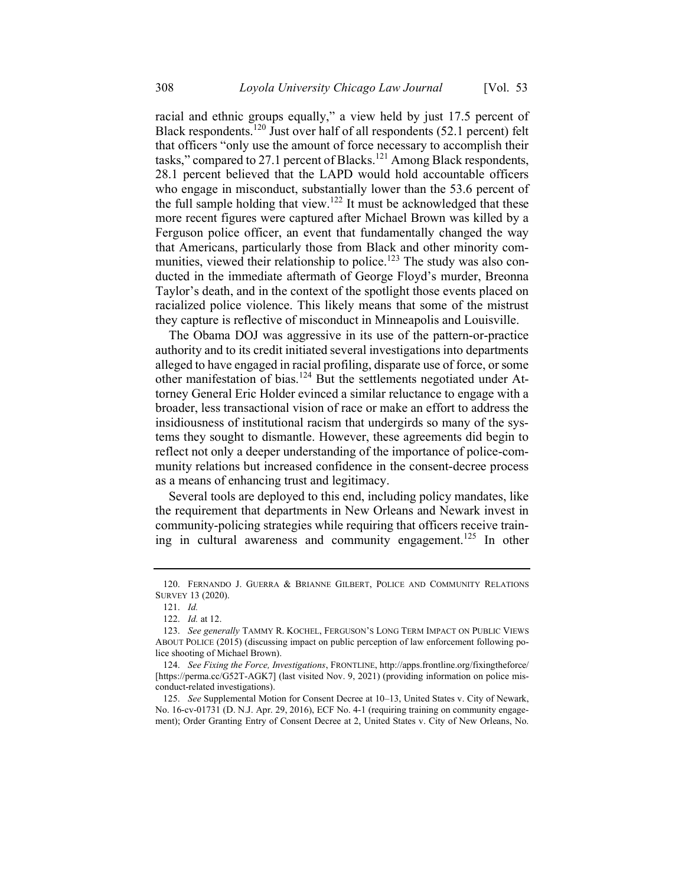racial and ethnic groups equally," a view held by just 17.5 percent of Black respondents.<sup>120</sup> Just over half of all respondents (52.1 percent) felt that officers "only use the amount of force necessary to accomplish their tasks," compared to 27.1 percent of Blacks.<sup>121</sup> Among Black respondents, 28.1 percent believed that the LAPD would hold accountable officers who engage in misconduct, substantially lower than the 53.6 percent of the full sample holding that view.<sup>122</sup> It must be acknowledged that these more recent figures were captured after Michael Brown was killed by a Ferguson police officer, an event that fundamentally changed the way that Americans, particularly those from Black and other minority communities, viewed their relationship to police.<sup>123</sup> The study was also conducted in the immediate aftermath of George Floyd's murder, Breonna Taylor's death, and in the context of the spotlight those events placed on racialized police violence. This likely means that some of the mistrust they capture is reflective of misconduct in Minneapolis and Louisville.

The Obama DOJ was aggressive in its use of the pattern-or-practice authority and to its credit initiated several investigations into departments alleged to have engaged in racial profiling, disparate use of force, or some other manifestation of bias.<sup>124</sup> But the settlements negotiated under Attorney General Eric Holder evinced a similar reluctance to engage with a broader, less transactional vision of race or make an effort to address the insidiousness of institutional racism that undergirds so many of the systems they sought to dismantle. However, these agreements did begin to reflect not only a deeper understanding of the importance of police-community relations but increased confidence in the consent-decree process as a means of enhancing trust and legitimacy.

Several tools are deployed to this end, including policy mandates, like the requirement that departments in New Orleans and Newark invest in community-policing strategies while requiring that officers receive training in cultural awareness and community engagement.<sup>125</sup> In other

<sup>120.</sup> FERNANDO J. GUERRA & BRIANNE GILBERT, POLICE AND COMMUNITY RELATIONS SURVEY 13 (2020).

<sup>121.</sup> Id.

<sup>122.</sup> Id. at 12.

<sup>123.</sup> See generally TAMMY R. KOCHEL, FERGUSON'S LONG TERM IMPACT ON PUBLIC VIEWS ABOUT POLICE (2015) (discussing impact on public perception of law enforcement following police shooting of Michael Brown).

<sup>124.</sup> See Fixing the Force, Investigations, FRONTLINE, http://apps.frontline.org/fixingtheforce/ [https://perma.cc/G52T-AGK7] (last visited Nov. 9, 2021) (providing information on police misconduct-related investigations).

<sup>125.</sup> See Supplemental Motion for Consent Decree at 10–13, United States v. City of Newark, No. 16-cv-01731 (D. N.J. Apr. 29, 2016), ECF No. 4-1 (requiring training on community engagement); Order Granting Entry of Consent Decree at 2, United States v. City of New Orleans, No.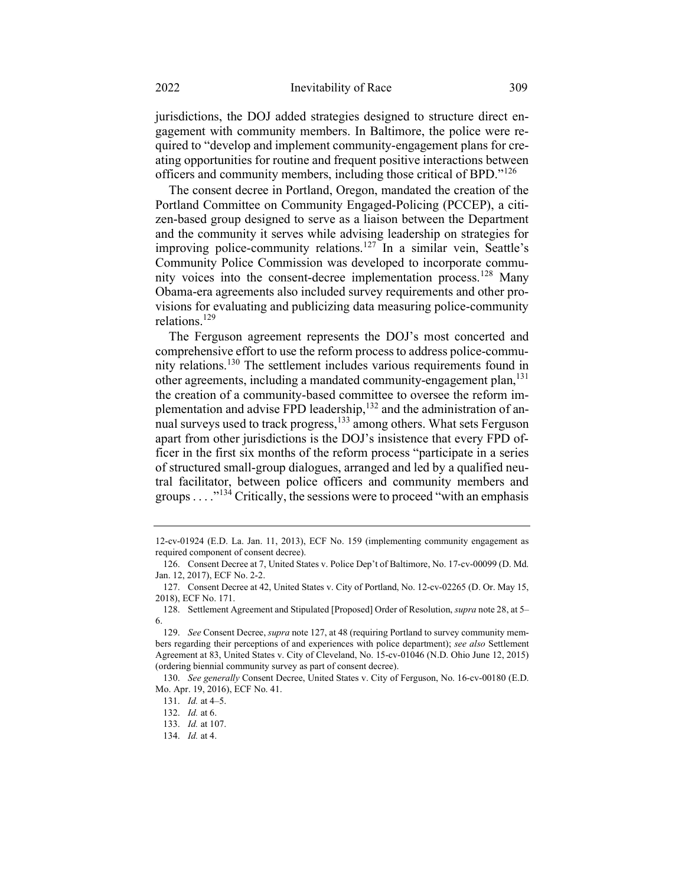jurisdictions, the DOJ added strategies designed to structure direct engagement with community members. In Baltimore, the police were required to "develop and implement community-engagement plans for creating opportunities for routine and frequent positive interactions between officers and community members, including those critical of BPD."<sup>126</sup>

The consent decree in Portland, Oregon, mandated the creation of the Portland Committee on Community Engaged-Policing (PCCEP), a citizen-based group designed to serve as a liaison between the Department and the community it serves while advising leadership on strategies for improving police-community relations.<sup>127</sup> In a similar vein, Seattle's Community Police Commission was developed to incorporate community voices into the consent-decree implementation process.<sup>128</sup> Many Obama-era agreements also included survey requirements and other provisions for evaluating and publicizing data measuring police-community relations.<sup>129</sup>

The Ferguson agreement represents the DOJ's most concerted and comprehensive effort to use the reform process to address police-community relations.<sup>130</sup> The settlement includes various requirements found in other agreements, including a mandated community-engagement plan,<sup>131</sup> the creation of a community-based committee to oversee the reform implementation and advise FPD leadership, $132$  and the administration of annual surveys used to track progress,<sup>133</sup> among others. What sets Ferguson apart from other jurisdictions is the DOJ's insistence that every FPD officer in the first six months of the reform process "participate in a series of structured small-group dialogues, arranged and led by a qualified neutral facilitator, between police officers and community members and groups  $\dots$ <sup>134</sup> Critically, the sessions were to proceed "with an emphasis"

<sup>12-</sup>cv-01924 (E.D. La. Jan. 11, 2013), ECF No. 159 (implementing community engagement as required component of consent decree).

<sup>126.</sup> Consent Decree at 7, United States v. Police Dep't of Baltimore, No. 17-cv-00099 (D. Md. Jan. 12, 2017), ECF No. 2-2.

<sup>127.</sup> Consent Decree at 42, United States v. City of Portland, No. 12-cv-02265 (D. Or. May 15, 2018), ECF No. 171.

<sup>128.</sup> Settlement Agreement and Stipulated [Proposed] Order of Resolution, supra note 28, at 5– 6.

<sup>129.</sup> See Consent Decree, supra note 127, at 48 (requiring Portland to survey community members regarding their perceptions of and experiences with police department); see also Settlement Agreement at 83, United States v. City of Cleveland, No. 15-cv-01046 (N.D. Ohio June 12, 2015) (ordering biennial community survey as part of consent decree).

<sup>130.</sup> See generally Consent Decree, United States v. City of Ferguson, No. 16-cv-00180 (E.D. Mo. Apr. 19, 2016), ECF No. 41.

<sup>131.</sup> Id. at 4–5.

<sup>132.</sup> Id. at 6.

<sup>133.</sup> Id. at 107.

<sup>134.</sup> Id. at 4.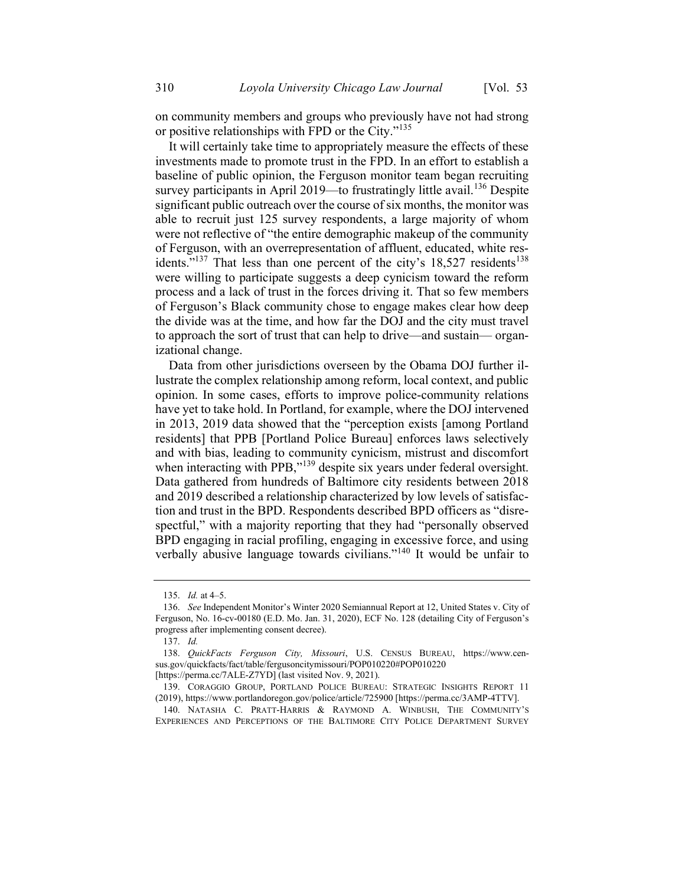on community members and groups who previously have not had strong or positive relationships with FPD or the City."<sup>135</sup>

It will certainly take time to appropriately measure the effects of these investments made to promote trust in the FPD. In an effort to establish a baseline of public opinion, the Ferguson monitor team began recruiting survey participants in April 2019—to frustratingly little avail.<sup>136</sup> Despite significant public outreach over the course of six months, the monitor was able to recruit just 125 survey respondents, a large majority of whom were not reflective of "the entire demographic makeup of the community of Ferguson, with an overrepresentation of affluent, educated, white residents."<sup>137</sup> That less than one percent of the city's  $18,527$  residents<sup>138</sup> were willing to participate suggests a deep cynicism toward the reform process and a lack of trust in the forces driving it. That so few members of Ferguson's Black community chose to engage makes clear how deep the divide was at the time, and how far the DOJ and the city must travel to approach the sort of trust that can help to drive—and sustain— organizational change.

Data from other jurisdictions overseen by the Obama DOJ further illustrate the complex relationship among reform, local context, and public opinion. In some cases, efforts to improve police-community relations have yet to take hold. In Portland, for example, where the DOJ intervened in 2013, 2019 data showed that the "perception exists [among Portland residents] that PPB [Portland Police Bureau] enforces laws selectively and with bias, leading to community cynicism, mistrust and discomfort when interacting with PPB,"<sup>139</sup> despite six years under federal oversight. Data gathered from hundreds of Baltimore city residents between 2018 and 2019 described a relationship characterized by low levels of satisfaction and trust in the BPD. Respondents described BPD officers as "disrespectful," with a majority reporting that they had "personally observed BPD engaging in racial profiling, engaging in excessive force, and using verbally abusive language towards civilians."<sup>140</sup> It would be unfair to

<sup>135.</sup> Id. at 4–5.

<sup>136.</sup> See Independent Monitor's Winter 2020 Semiannual Report at 12, United States v. City of Ferguson, No. 16-cv-00180 (E.D. Mo. Jan. 31, 2020), ECF No. 128 (detailing City of Ferguson's progress after implementing consent decree).

<sup>137.</sup> Id.

<sup>138.</sup> QuickFacts Ferguson City, Missouri, U.S. CENSUS BUREAU, https://www.census.gov/quickfacts/fact/table/fergusoncitymissouri/POP010220#POP010220 [https://perma.cc/7ALE-Z7YD] (last visited Nov. 9, 2021).

<sup>139.</sup> CORAGGIO GROUP, PORTLAND POLICE BUREAU: STRATEGIC INSIGHTS REPORT 11 (2019), https://www.portlandoregon.gov/police/article/725900 [https://perma.cc/3AMP-4TTV].

<sup>140.</sup> NATASHA C. PRATT-HARRIS & RAYMOND A. WINBUSH, THE COMMUNITY'<sup>S</sup> EXPERIENCES AND PERCEPTIONS OF THE BALTIMORE CITY POLICE DEPARTMENT SURVEY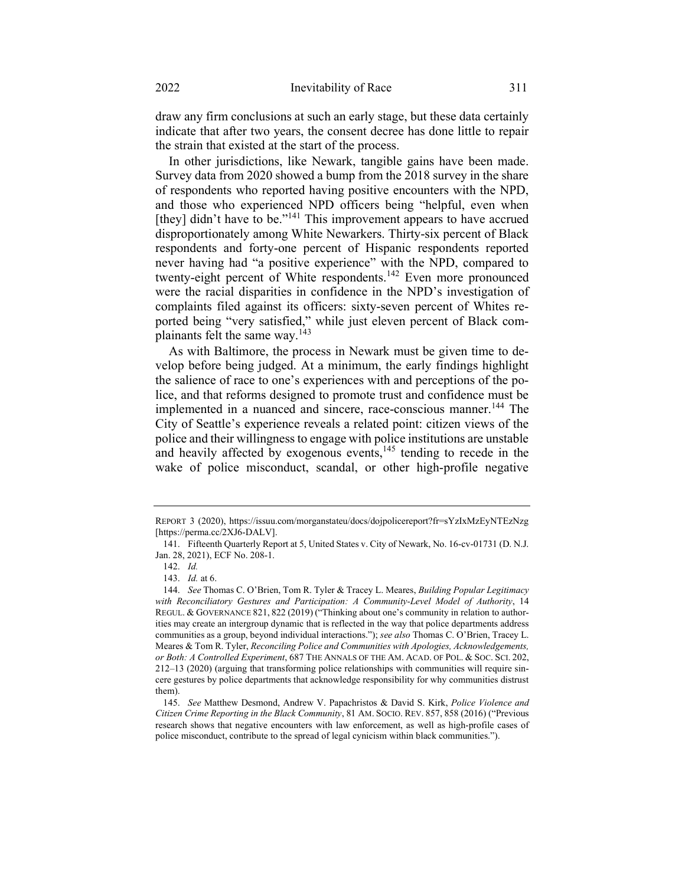draw any firm conclusions at such an early stage, but these data certainly indicate that after two years, the consent decree has done little to repair the strain that existed at the start of the process.

In other jurisdictions, like Newark, tangible gains have been made. Survey data from 2020 showed a bump from the 2018 survey in the share of respondents who reported having positive encounters with the NPD, and those who experienced NPD officers being "helpful, even when [they] didn't have to be."<sup>141</sup> This improvement appears to have accrued disproportionately among White Newarkers. Thirty-six percent of Black respondents and forty-one percent of Hispanic respondents reported never having had "a positive experience" with the NPD, compared to twenty-eight percent of White respondents.<sup>142</sup> Even more pronounced were the racial disparities in confidence in the NPD's investigation of complaints filed against its officers: sixty-seven percent of Whites reported being "very satisfied," while just eleven percent of Black complainants felt the same way.<sup>143</sup>

As with Baltimore, the process in Newark must be given time to develop before being judged. At a minimum, the early findings highlight the salience of race to one's experiences with and perceptions of the police, and that reforms designed to promote trust and confidence must be implemented in a nuanced and sincere, race-conscious manner.<sup>144</sup> The City of Seattle's experience reveals a related point: citizen views of the police and their willingness to engage with police institutions are unstable and heavily affected by exogenous events, $145$  tending to recede in the wake of police misconduct, scandal, or other high-profile negative

REPORT 3 (2020), https://issuu.com/morganstateu/docs/dojpolicereport?fr=sYzIxMzEyNTEzNzg [https://perma.cc/2XJ6-DALV].

<sup>141.</sup> Fifteenth Quarterly Report at 5, United States v. City of Newark, No. 16-cv-01731 (D. N.J. Jan. 28, 2021), ECF No. 208-1.

<sup>142.</sup> Id.

<sup>143.</sup> Id. at 6.

<sup>144.</sup> See Thomas C. O'Brien, Tom R. Tyler & Tracey L. Meares, Building Popular Legitimacy with Reconciliatory Gestures and Participation: A Community-Level Model of Authority, 14 REGUL. & GOVERNANCE 821, 822 (2019) ("Thinking about one's community in relation to authorities may create an intergroup dynamic that is reflected in the way that police departments address communities as a group, beyond individual interactions."); see also Thomas C. O'Brien, Tracey L. Meares & Tom R. Tyler, Reconciling Police and Communities with Apologies, Acknowledgements, or Both: A Controlled Experiment, 687 THE ANNALS OF THE AM. ACAD. OF POL. & SOC. SCI. 202, 212–13 (2020) (arguing that transforming police relationships with communities will require sincere gestures by police departments that acknowledge responsibility for why communities distrust them).

<sup>145.</sup> See Matthew Desmond, Andrew V. Papachristos & David S. Kirk, Police Violence and Citizen Crime Reporting in the Black Community, 81 AM. SOCIO. REV. 857, 858 (2016) ("Previous research shows that negative encounters with law enforcement, as well as high-profile cases of police misconduct, contribute to the spread of legal cynicism within black communities.").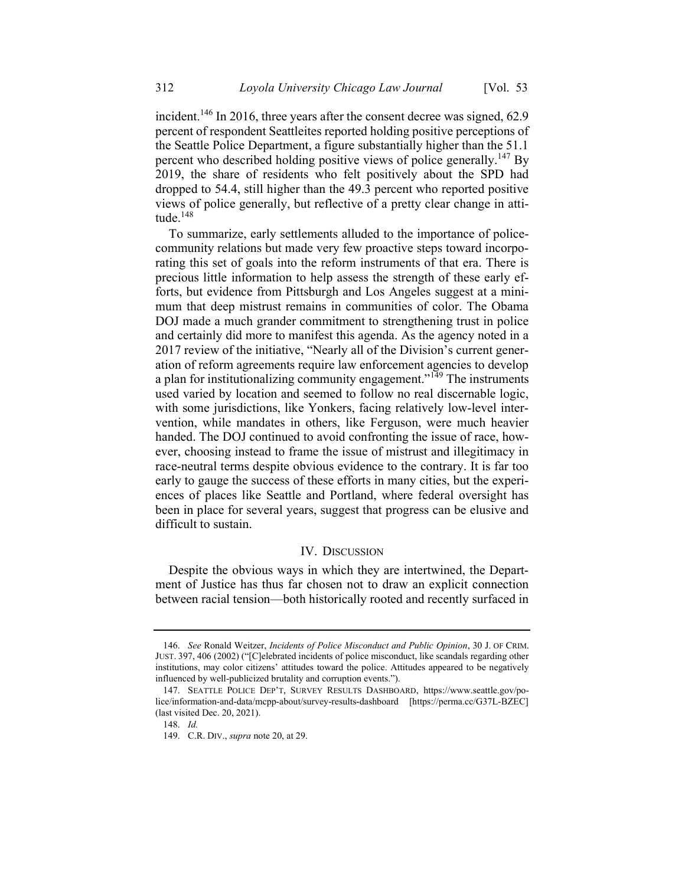incident.<sup>146</sup> In 2016, three years after the consent decree was signed,  $62.9$ percent of respondent Seattleites reported holding positive perceptions of the Seattle Police Department, a figure substantially higher than the 51.1 percent who described holding positive views of police generally.<sup>147</sup> By 2019, the share of residents who felt positively about the SPD had dropped to 54.4, still higher than the 49.3 percent who reported positive views of police generally, but reflective of a pretty clear change in attitude. $^{148}$ 

To summarize, early settlements alluded to the importance of policecommunity relations but made very few proactive steps toward incorporating this set of goals into the reform instruments of that era. There is precious little information to help assess the strength of these early efforts, but evidence from Pittsburgh and Los Angeles suggest at a minimum that deep mistrust remains in communities of color. The Obama DOJ made a much grander commitment to strengthening trust in police and certainly did more to manifest this agenda. As the agency noted in a 2017 review of the initiative, "Nearly all of the Division's current generation of reform agreements require law enforcement agencies to develop a plan for institutionalizing community engagement."<sup>149</sup> The instruments used varied by location and seemed to follow no real discernable logic, with some jurisdictions, like Yonkers, facing relatively low-level intervention, while mandates in others, like Ferguson, were much heavier handed. The DOJ continued to avoid confronting the issue of race, however, choosing instead to frame the issue of mistrust and illegitimacy in race-neutral terms despite obvious evidence to the contrary. It is far too early to gauge the success of these efforts in many cities, but the experiences of places like Seattle and Portland, where federal oversight has been in place for several years, suggest that progress can be elusive and difficult to sustain.

#### IV. DISCUSSION

Despite the obvious ways in which they are intertwined, the Department of Justice has thus far chosen not to draw an explicit connection between racial tension—both historically rooted and recently surfaced in

<sup>146.</sup> See Ronald Weitzer, Incidents of Police Misconduct and Public Opinion, 30 J. OF CRIM. JUST. 397, 406 (2002) ("[C]elebrated incidents of police misconduct, like scandals regarding other institutions, may color citizens' attitudes toward the police. Attitudes appeared to be negatively influenced by well-publicized brutality and corruption events.").

<sup>147.</sup> SEATTLE POLICE DEP'T, SURVEY RESULTS DASHBOARD, https://www.seattle.gov/police/information-and-data/mcpp-about/survey-results-dashboard [https://perma.cc/G37L-BZEC] (last visited Dec. 20, 2021).

<sup>148.</sup> Id.

<sup>149.</sup> C.R. DIV., supra note 20, at 29.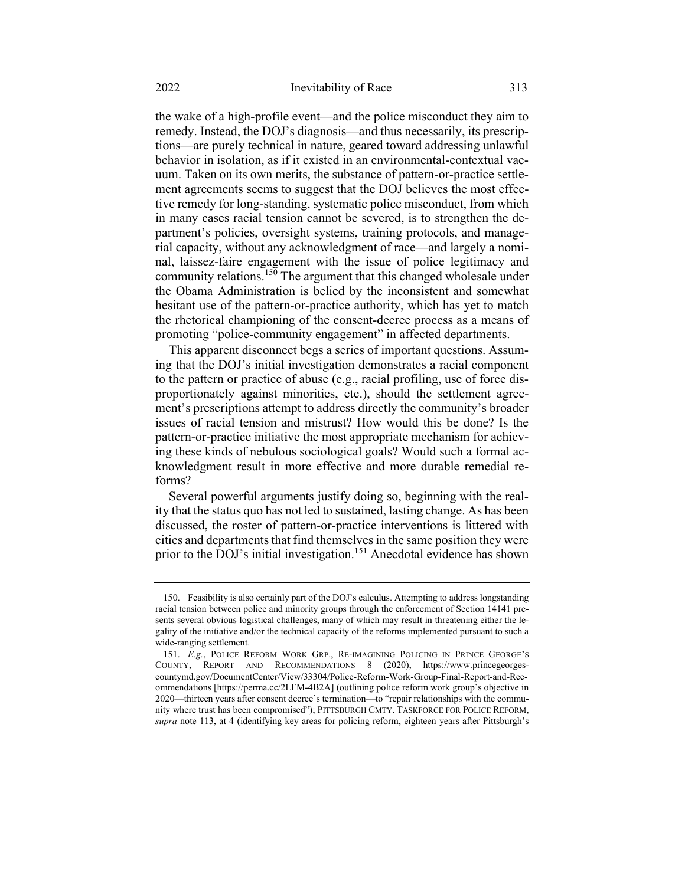the wake of a high-profile event—and the police misconduct they aim to remedy. Instead, the DOJ's diagnosis—and thus necessarily, its prescriptions—are purely technical in nature, geared toward addressing unlawful behavior in isolation, as if it existed in an environmental-contextual vacuum. Taken on its own merits, the substance of pattern-or-practice settlement agreements seems to suggest that the DOJ believes the most effective remedy for long-standing, systematic police misconduct, from which in many cases racial tension cannot be severed, is to strengthen the department's policies, oversight systems, training protocols, and managerial capacity, without any acknowledgment of race—and largely a nominal, laissez-faire engagement with the issue of police legitimacy and community relations.<sup>150</sup> The argument that this changed wholesale under the Obama Administration is belied by the inconsistent and somewhat hesitant use of the pattern-or-practice authority, which has yet to match the rhetorical championing of the consent-decree process as a means of promoting "police-community engagement" in affected departments.

This apparent disconnect begs a series of important questions. Assuming that the DOJ's initial investigation demonstrates a racial component to the pattern or practice of abuse (e.g., racial profiling, use of force disproportionately against minorities, etc.), should the settlement agreement's prescriptions attempt to address directly the community's broader issues of racial tension and mistrust? How would this be done? Is the pattern-or-practice initiative the most appropriate mechanism for achieving these kinds of nebulous sociological goals? Would such a formal acknowledgment result in more effective and more durable remedial reforms?

Several powerful arguments justify doing so, beginning with the reality that the status quo has not led to sustained, lasting change. As has been discussed, the roster of pattern-or-practice interventions is littered with cities and departments that find themselves in the same position they were prior to the DOJ's initial investigation.<sup>151</sup> Anecdotal evidence has shown

<sup>150.</sup> Feasibility is also certainly part of the DOJ's calculus. Attempting to address longstanding racial tension between police and minority groups through the enforcement of Section 14141 presents several obvious logistical challenges, many of which may result in threatening either the legality of the initiative and/or the technical capacity of the reforms implemented pursuant to such a wide-ranging settlement.

<sup>151.</sup> E.g., POLICE REFORM WORK GRP., RE-IMAGINING POLICING IN PRINCE GEORGE'S COUNTY, REPORT AND RECOMMENDATIONS 8 (2020), https://www.princegeorgescountymd.gov/DocumentCenter/View/33304/Police-Reform-Work-Group-Final-Report-and-Recommendations [https://perma.cc/2LFM-4B2A] (outlining police reform work group's objective in 2020—thirteen years after consent decree's termination—to "repair relationships with the community where trust has been compromised"); PITTSBURGH CMTY. TASKFORCE FOR POLICE REFORM, supra note 113, at 4 (identifying key areas for policing reform, eighteen years after Pittsburgh's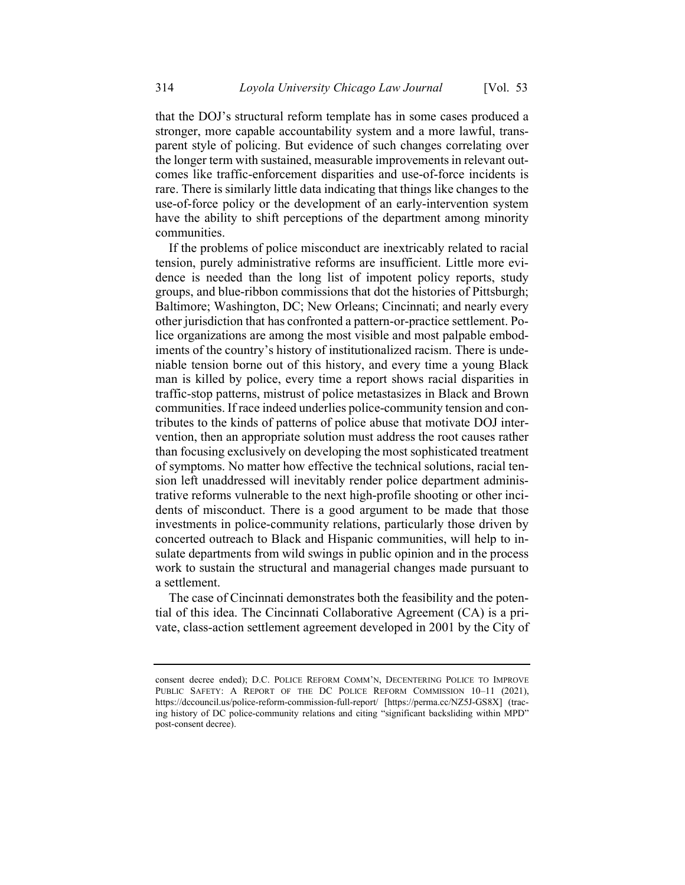that the DOJ's structural reform template has in some cases produced a stronger, more capable accountability system and a more lawful, transparent style of policing. But evidence of such changes correlating over the longer term with sustained, measurable improvements in relevant outcomes like traffic-enforcement disparities and use-of-force incidents is rare. There is similarly little data indicating that things like changes to the use-of-force policy or the development of an early-intervention system have the ability to shift perceptions of the department among minority communities.

If the problems of police misconduct are inextricably related to racial tension, purely administrative reforms are insufficient. Little more evidence is needed than the long list of impotent policy reports, study groups, and blue-ribbon commissions that dot the histories of Pittsburgh; Baltimore; Washington, DC; New Orleans; Cincinnati; and nearly every other jurisdiction that has confronted a pattern-or-practice settlement. Police organizations are among the most visible and most palpable embodiments of the country's history of institutionalized racism. There is undeniable tension borne out of this history, and every time a young Black man is killed by police, every time a report shows racial disparities in traffic-stop patterns, mistrust of police metastasizes in Black and Brown communities. If race indeed underlies police-community tension and contributes to the kinds of patterns of police abuse that motivate DOJ intervention, then an appropriate solution must address the root causes rather than focusing exclusively on developing the most sophisticated treatment of symptoms. No matter how effective the technical solutions, racial tension left unaddressed will inevitably render police department administrative reforms vulnerable to the next high-profile shooting or other incidents of misconduct. There is a good argument to be made that those investments in police-community relations, particularly those driven by concerted outreach to Black and Hispanic communities, will help to insulate departments from wild swings in public opinion and in the process work to sustain the structural and managerial changes made pursuant to a settlement.

The case of Cincinnati demonstrates both the feasibility and the potential of this idea. The Cincinnati Collaborative Agreement (CA) is a private, class-action settlement agreement developed in 2001 by the City of

consent decree ended); D.C. POLICE REFORM COMM'N, DECENTERING POLICE TO IMPROVE PUBLIC SAFETY: A REPORT OF THE DC POLICE REFORM COMMISSION 10–11 (2021), https://dccouncil.us/police-reform-commission-full-report/ [https://perma.cc/NZ5J-GS8X] (tracing history of DC police-community relations and citing "significant backsliding within MPD" post-consent decree).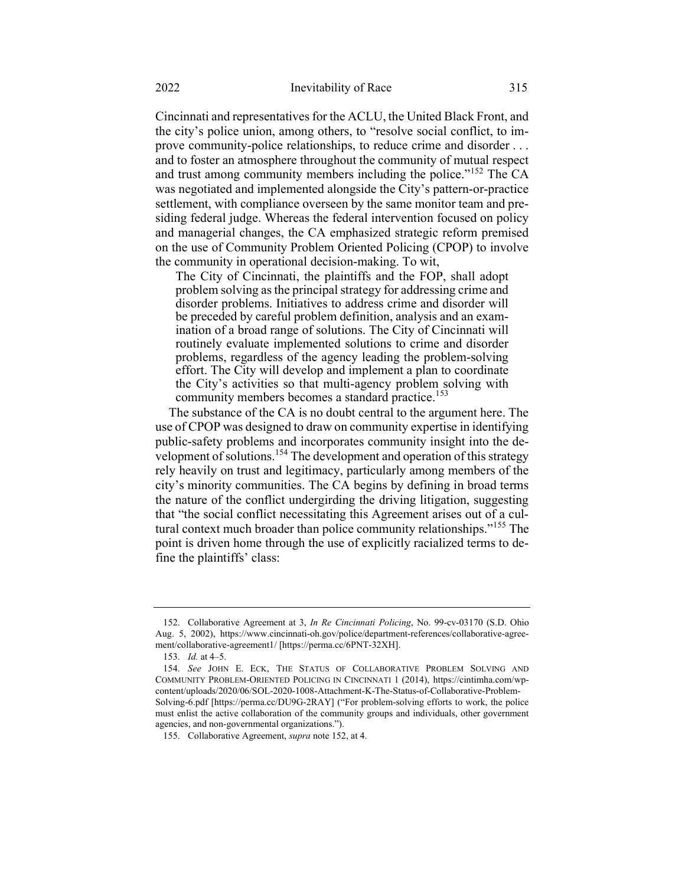Cincinnati and representatives for the ACLU, the United Black Front, and the city's police union, among others, to "resolve social conflict, to improve community-police relationships, to reduce crime and disorder . . . and to foster an atmosphere throughout the community of mutual respect and trust among community members including the police."<sup>152</sup> The CA was negotiated and implemented alongside the City's pattern-or-practice settlement, with compliance overseen by the same monitor team and presiding federal judge. Whereas the federal intervention focused on policy and managerial changes, the CA emphasized strategic reform premised on the use of Community Problem Oriented Policing (CPOP) to involve the community in operational decision-making. To wit,

The City of Cincinnati, the plaintiffs and the FOP, shall adopt problem solving as the principal strategy for addressing crime and disorder problems. Initiatives to address crime and disorder will be preceded by careful problem definition, analysis and an examination of a broad range of solutions. The City of Cincinnati will routinely evaluate implemented solutions to crime and disorder problems, regardless of the agency leading the problem-solving effort. The City will develop and implement a plan to coordinate the City's activities so that multi-agency problem solving with community members becomes a standard practice.<sup>153</sup>

The substance of the CA is no doubt central to the argument here. The use of CPOP was designed to draw on community expertise in identifying public-safety problems and incorporates community insight into the development of solutions.<sup>154</sup> The development and operation of this strategy rely heavily on trust and legitimacy, particularly among members of the city's minority communities. The CA begins by defining in broad terms the nature of the conflict undergirding the driving litigation, suggesting that "the social conflict necessitating this Agreement arises out of a cultural context much broader than police community relationships."<sup>155</sup> The point is driven home through the use of explicitly racialized terms to define the plaintiffs' class:

<sup>152.</sup> Collaborative Agreement at 3, In Re Cincinnati Policing, No. 99-cv-03170 (S.D. Ohio Aug. 5, 2002), https://www.cincinnati-oh.gov/police/department-references/collaborative-agreement/collaborative-agreement1/ [https://perma.cc/6PNT-32XH].

<sup>153.</sup> Id. at 4–5.

<sup>154.</sup> See JOHN E. ECK, THE STATUS OF COLLABORATIVE PROBLEM SOLVING AND COMMUNITY PROBLEM-ORIENTED POLICING IN CINCINNATI 1 (2014), https://cintimha.com/wpcontent/uploads/2020/06/SOL-2020-1008-Attachment-K-The-Status-of-Collaborative-Problem-Solving-6.pdf [https://perma.cc/DU9G-2RAY] ("For problem-solving efforts to work, the police must enlist the active collaboration of the community groups and individuals, other government agencies, and non-governmental organizations.").

<sup>155.</sup> Collaborative Agreement, supra note 152, at 4.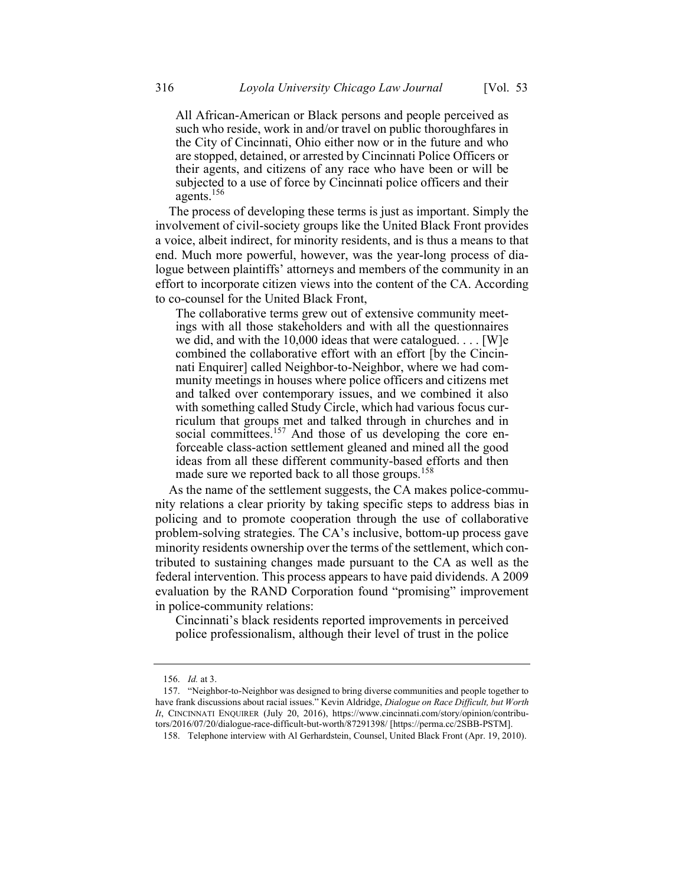All African-American or Black persons and people perceived as such who reside, work in and/or travel on public thoroughfares in the City of Cincinnati, Ohio either now or in the future and who are stopped, detained, or arrested by Cincinnati Police Officers or their agents, and citizens of any race who have been or will be subjected to a use of force by Cincinnati police officers and their agents. $156$ 

The process of developing these terms is just as important. Simply the involvement of civil-society groups like the United Black Front provides a voice, albeit indirect, for minority residents, and is thus a means to that end. Much more powerful, however, was the year-long process of dialogue between plaintiffs' attorneys and members of the community in an effort to incorporate citizen views into the content of the CA. According to co-counsel for the United Black Front,

The collaborative terms grew out of extensive community meetings with all those stakeholders and with all the questionnaires we did, and with the 10,000 ideas that were catalogued. . . . [W]e combined the collaborative effort with an effort [by the Cincinnati Enquirer] called Neighbor-to-Neighbor, where we had community meetings in houses where police officers and citizens met and talked over contemporary issues, and we combined it also with something called Study Circle, which had various focus curriculum that groups met and talked through in churches and in social committees.<sup>157</sup> And those of us developing the core enforceable class-action settlement gleaned and mined all the good ideas from all these different community-based efforts and then made sure we reported back to all those groups.<sup>158</sup>

As the name of the settlement suggests, the CA makes police-community relations a clear priority by taking specific steps to address bias in policing and to promote cooperation through the use of collaborative problem-solving strategies. The CA's inclusive, bottom-up process gave minority residents ownership over the terms of the settlement, which contributed to sustaining changes made pursuant to the CA as well as the federal intervention. This process appears to have paid dividends. A 2009 evaluation by the RAND Corporation found "promising" improvement in police-community relations:

Cincinnati's black residents reported improvements in perceived police professionalism, although their level of trust in the police

<sup>156.</sup> Id. at 3.

<sup>157. &</sup>quot;Neighbor-to-Neighbor was designed to bring diverse communities and people together to have frank discussions about racial issues." Kevin Aldridge, Dialogue on Race Difficult, but Worth It, CINCINNATI ENQUIRER (July 20, 2016), https://www.cincinnati.com/story/opinion/contributors/2016/07/20/dialogue-race-difficult-but-worth/87291398/ [https://perma.cc/2SBB-PSTM].

<sup>158.</sup> Telephone interview with Al Gerhardstein, Counsel, United Black Front (Apr. 19, 2010).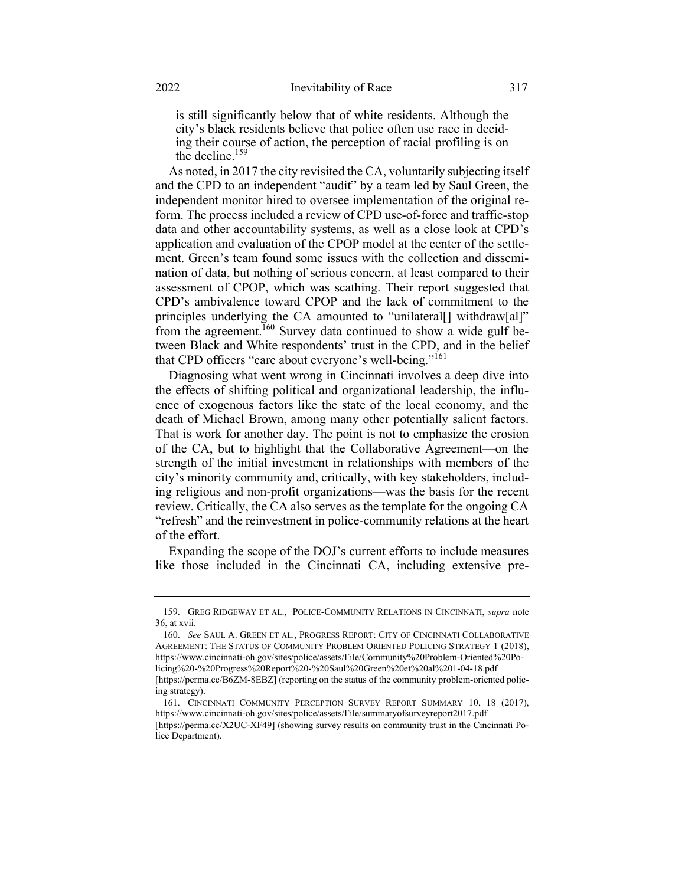is still significantly below that of white residents. Although the city's black residents believe that police often use race in deciding their course of action, the perception of racial profiling is on the decline.<sup>159</sup>

As noted, in 2017 the city revisited the CA, voluntarily subjecting itself and the CPD to an independent "audit" by a team led by Saul Green, the independent monitor hired to oversee implementation of the original reform. The process included a review of CPD use-of-force and traffic-stop data and other accountability systems, as well as a close look at CPD's application and evaluation of the CPOP model at the center of the settlement. Green's team found some issues with the collection and dissemination of data, but nothing of serious concern, at least compared to their assessment of CPOP, which was scathing. Their report suggested that CPD's ambivalence toward CPOP and the lack of commitment to the principles underlying the CA amounted to "unilateral[] withdraw[al]" from the agreement.<sup>160</sup> Survey data continued to show a wide gulf between Black and White respondents' trust in the CPD, and in the belief that CPD officers "care about everyone's well-being."<sup>161</sup>

Diagnosing what went wrong in Cincinnati involves a deep dive into the effects of shifting political and organizational leadership, the influence of exogenous factors like the state of the local economy, and the death of Michael Brown, among many other potentially salient factors. That is work for another day. The point is not to emphasize the erosion of the CA, but to highlight that the Collaborative Agreement—on the strength of the initial investment in relationships with members of the city's minority community and, critically, with key stakeholders, including religious and non-profit organizations—was the basis for the recent review. Critically, the CA also serves as the template for the ongoing CA "refresh" and the reinvestment in police-community relations at the heart of the effort.

Expanding the scope of the DOJ's current efforts to include measures like those included in the Cincinnati CA, including extensive pre-

<sup>159.</sup> GREG RIDGEWAY ET AL., POLICE-COMMUNITY RELATIONS IN CINCINNATI, supra note 36, at xvii.

<sup>160.</sup> See SAUL A. GREEN ET AL., PROGRESS REPORT: CITY OF CINCINNATI COLLABORATIVE AGREEMENT: THE STATUS OF COMMUNITY PROBLEM ORIENTED POLICING STRATEGY 1 (2018), https://www.cincinnati-oh.gov/sites/police/assets/File/Community%20Problem-Oriented%20Policing%20-%20Progress%20Report%20-%20Saul%20Green%20et%20al%201-04-18.pdf [https://perma.cc/B6ZM-8EBZ] (reporting on the status of the community problem-oriented policing strategy).

<sup>161.</sup> CINCINNATI COMMUNITY PERCEPTION SURVEY REPORT SUMMARY 10, 18 (2017), https://www.cincinnati-oh.gov/sites/police/assets/File/summaryofsurveyreport2017.pdf

<sup>[</sup>https://perma.cc/X2UC-XF49] (showing survey results on community trust in the Cincinnati Police Department).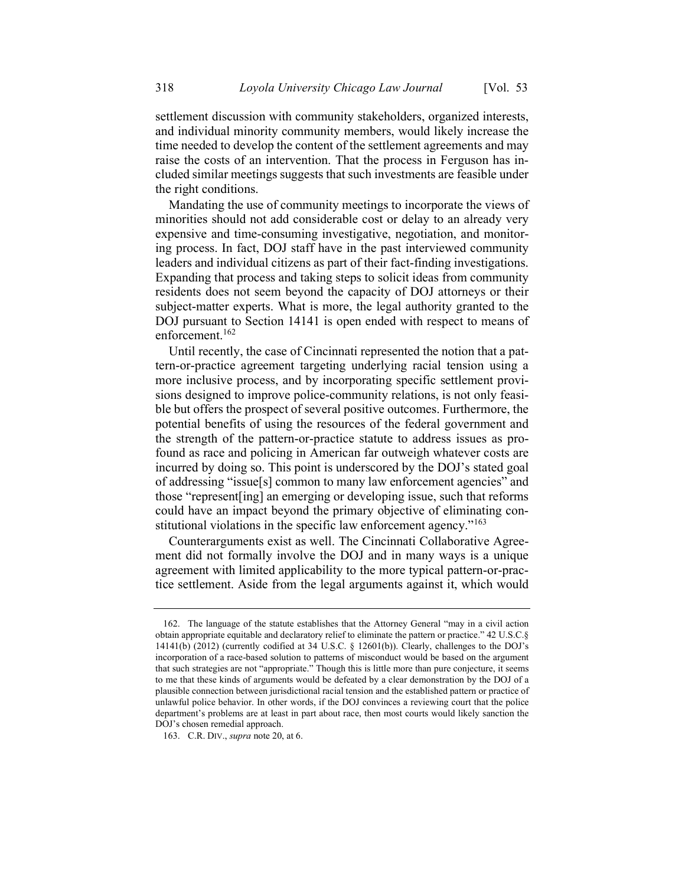settlement discussion with community stakeholders, organized interests, and individual minority community members, would likely increase the time needed to develop the content of the settlement agreements and may raise the costs of an intervention. That the process in Ferguson has included similar meetings suggests that such investments are feasible under the right conditions.

Mandating the use of community meetings to incorporate the views of minorities should not add considerable cost or delay to an already very expensive and time-consuming investigative, negotiation, and monitoring process. In fact, DOJ staff have in the past interviewed community leaders and individual citizens as part of their fact-finding investigations. Expanding that process and taking steps to solicit ideas from community residents does not seem beyond the capacity of DOJ attorneys or their subject-matter experts. What is more, the legal authority granted to the DOJ pursuant to Section 14141 is open ended with respect to means of enforcement.<sup>162</sup>

Until recently, the case of Cincinnati represented the notion that a pattern-or-practice agreement targeting underlying racial tension using a more inclusive process, and by incorporating specific settlement provisions designed to improve police-community relations, is not only feasible but offers the prospect of several positive outcomes. Furthermore, the potential benefits of using the resources of the federal government and the strength of the pattern-or-practice statute to address issues as profound as race and policing in American far outweigh whatever costs are incurred by doing so. This point is underscored by the DOJ's stated goal of addressing "issue[s] common to many law enforcement agencies" and those "represent[ing] an emerging or developing issue, such that reforms could have an impact beyond the primary objective of eliminating constitutional violations in the specific law enforcement agency."<sup>163</sup>

Counterarguments exist as well. The Cincinnati Collaborative Agreement did not formally involve the DOJ and in many ways is a unique agreement with limited applicability to the more typical pattern-or-practice settlement. Aside from the legal arguments against it, which would

<sup>162.</sup> The language of the statute establishes that the Attorney General "may in a civil action obtain appropriate equitable and declaratory relief to eliminate the pattern or practice." 42 U.S.C.§ 14141(b) (2012) (currently codified at 34 U.S.C. § 12601(b)). Clearly, challenges to the DOJ's incorporation of a race-based solution to patterns of misconduct would be based on the argument that such strategies are not "appropriate." Though this is little more than pure conjecture, it seems to me that these kinds of arguments would be defeated by a clear demonstration by the DOJ of a plausible connection between jurisdictional racial tension and the established pattern or practice of unlawful police behavior. In other words, if the DOJ convinces a reviewing court that the police department's problems are at least in part about race, then most courts would likely sanction the DOJ's chosen remedial approach.

<sup>163.</sup> C.R. DIV., supra note 20, at 6.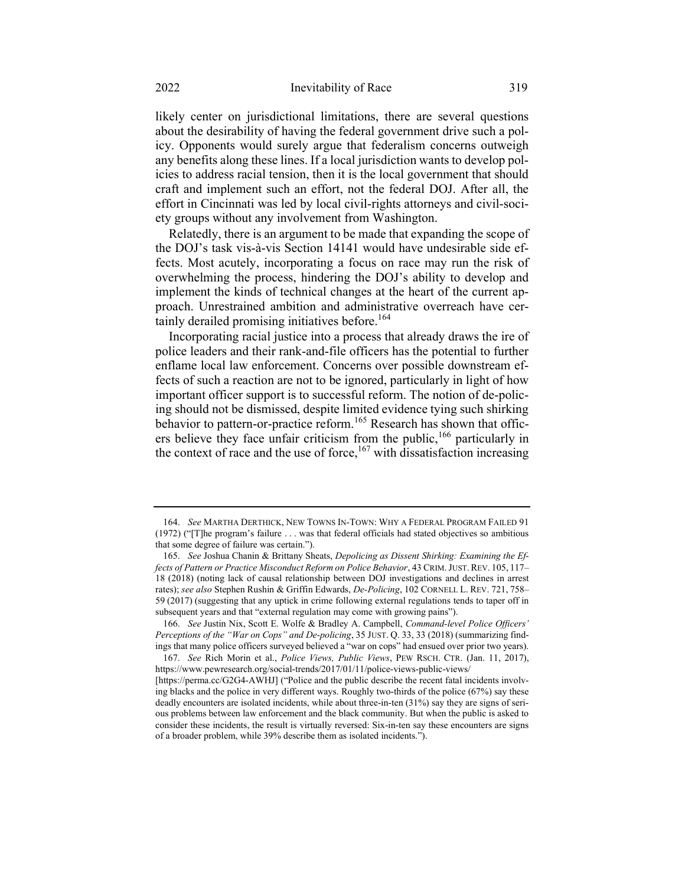likely center on jurisdictional limitations, there are several questions about the desirability of having the federal government drive such a policy. Opponents would surely argue that federalism concerns outweigh any benefits along these lines. If a local jurisdiction wants to develop policies to address racial tension, then it is the local government that should craft and implement such an effort, not the federal DOJ. After all, the effort in Cincinnati was led by local civil-rights attorneys and civil-society groups without any involvement from Washington.

Relatedly, there is an argument to be made that expanding the scope of the DOJ's task vis-à-vis Section 14141 would have undesirable side effects. Most acutely, incorporating a focus on race may run the risk of overwhelming the process, hindering the DOJ's ability to develop and implement the kinds of technical changes at the heart of the current approach. Unrestrained ambition and administrative overreach have certainly derailed promising initiatives before.<sup>164</sup>

Incorporating racial justice into a process that already draws the ire of police leaders and their rank-and-file officers has the potential to further enflame local law enforcement. Concerns over possible downstream effects of such a reaction are not to be ignored, particularly in light of how important officer support is to successful reform. The notion of de-policing should not be dismissed, despite limited evidence tying such shirking behavior to pattern-or-practice reform.<sup>165</sup> Research has shown that officers believe they face unfair criticism from the public,<sup>166</sup> particularly in the context of race and the use of force,  $167$  with dissatisfaction increasing

<sup>164.</sup> See MARTHA DERTHICK, NEW TOWNS IN-TOWN: WHY A FEDERAL PROGRAM FAILED 91 (1972) ("[T]he program's failure . . . was that federal officials had stated objectives so ambitious that some degree of failure was certain.").

<sup>165.</sup> See Joshua Chanin & Brittany Sheats, Depolicing as Dissent Shirking: Examining the Effects of Pattern or Practice Misconduct Reform on Police Behavior, 43 CRIM.JUST. REV. 105, 117– 18 (2018) (noting lack of causal relationship between DOJ investigations and declines in arrest rates); see also Stephen Rushin & Griffin Edwards, De-Policing, 102 CORNELL L. REV. 721, 758-59 (2017) (suggesting that any uptick in crime following external regulations tends to taper off in subsequent years and that "external regulation may come with growing pains").

<sup>166.</sup> See Justin Nix, Scott E. Wolfe & Bradley A. Campbell, Command-level Police Officers' Perceptions of the "War on Cops" and De-policing, 35 JUST. O. 33, 33 (2018) (summarizing findings that many police officers surveyed believed a "war on cops" had ensued over prior two years).

<sup>167.</sup> See Rich Morin et al., Police Views, Public Views, PEW RSCH. CTR. (Jan. 11, 2017), https://www.pewresearch.org/social-trends/2017/01/11/police-views-public-views/

<sup>[</sup>https://perma.cc/G2G4-AWHJ] ("Police and the public describe the recent fatal incidents involving blacks and the police in very different ways. Roughly two-thirds of the police (67%) say these deadly encounters are isolated incidents, while about three-in-ten (31%) say they are signs of serious problems between law enforcement and the black community. But when the public is asked to consider these incidents, the result is virtually reversed: Six-in-ten say these encounters are signs of a broader problem, while 39% describe them as isolated incidents.").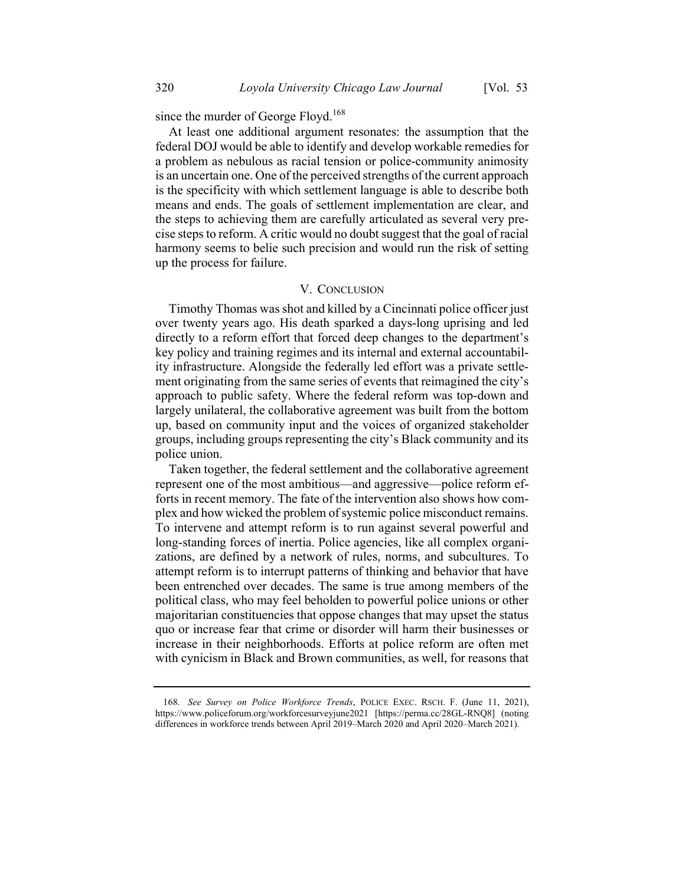since the murder of George Floyd.<sup>168</sup>

At least one additional argument resonates: the assumption that the federal DOJ would be able to identify and develop workable remedies for a problem as nebulous as racial tension or police-community animosity is an uncertain one. One of the perceived strengths of the current approach is the specificity with which settlement language is able to describe both means and ends. The goals of settlement implementation are clear, and the steps to achieving them are carefully articulated as several very precise steps to reform. A critic would no doubt suggest that the goal of racial harmony seems to belie such precision and would run the risk of setting up the process for failure.

## V. CONCLUSION

Timothy Thomas was shot and killed by a Cincinnati police officer just over twenty years ago. His death sparked a days-long uprising and led directly to a reform effort that forced deep changes to the department's key policy and training regimes and its internal and external accountability infrastructure. Alongside the federally led effort was a private settlement originating from the same series of events that reimagined the city's approach to public safety. Where the federal reform was top-down and largely unilateral, the collaborative agreement was built from the bottom up, based on community input and the voices of organized stakeholder groups, including groups representing the city's Black community and its police union.

Taken together, the federal settlement and the collaborative agreement represent one of the most ambitious—and aggressive—police reform efforts in recent memory. The fate of the intervention also shows how complex and how wicked the problem of systemic police misconduct remains. To intervene and attempt reform is to run against several powerful and long-standing forces of inertia. Police agencies, like all complex organizations, are defined by a network of rules, norms, and subcultures. To attempt reform is to interrupt patterns of thinking and behavior that have been entrenched over decades. The same is true among members of the political class, who may feel beholden to powerful police unions or other majoritarian constituencies that oppose changes that may upset the status quo or increase fear that crime or disorder will harm their businesses or increase in their neighborhoods. Efforts at police reform are often met with cynicism in Black and Brown communities, as well, for reasons that

<sup>168.</sup> See Survey on Police Workforce Trends, POLICE EXEC. RSCH. F. (June 11, 2021), https://www.policeforum.org/workforcesurveyjune2021 [https://perma.cc/28GL-RNQ8] (noting differences in workforce trends between April 2019–March 2020 and April 2020–March 2021).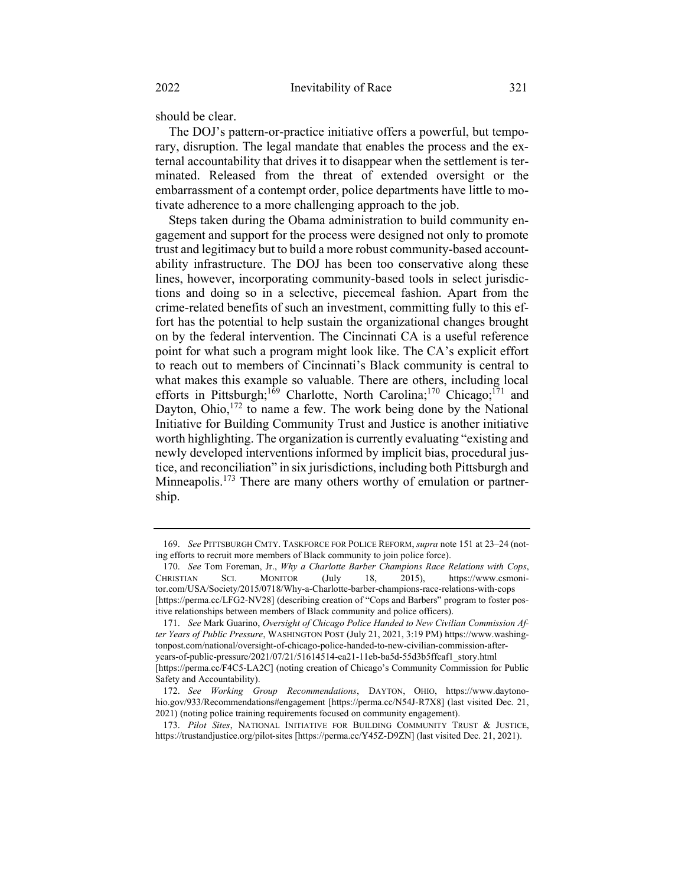should be clear.

The DOJ's pattern-or-practice initiative offers a powerful, but temporary, disruption. The legal mandate that enables the process and the external accountability that drives it to disappear when the settlement is terminated. Released from the threat of extended oversight or the embarrassment of a contempt order, police departments have little to motivate adherence to a more challenging approach to the job.

Steps taken during the Obama administration to build community engagement and support for the process were designed not only to promote trust and legitimacy but to build a more robust community-based accountability infrastructure. The DOJ has been too conservative along these lines, however, incorporating community-based tools in select jurisdictions and doing so in a selective, piecemeal fashion. Apart from the crime-related benefits of such an investment, committing fully to this effort has the potential to help sustain the organizational changes brought on by the federal intervention. The Cincinnati CA is a useful reference point for what such a program might look like. The CA's explicit effort to reach out to members of Cincinnati's Black community is central to what makes this example so valuable. There are others, including local efforts in Pittsburgh;<sup>169</sup> Charlotte, North Carolina;<sup>170</sup> Chicago;<sup>171</sup> and Dayton, Ohio,  $172$  to name a few. The work being done by the National Initiative for Building Community Trust and Justice is another initiative worth highlighting. The organization is currently evaluating "existing and newly developed interventions informed by implicit bias, procedural justice, and reconciliation" in six jurisdictions, including both Pittsburgh and Minneapolis.<sup>173</sup> There are many others worthy of emulation or partnership.

<sup>169.</sup> See PITTSBURGH CMTY. TASKFORCE FOR POLICE REFORM, supra note 151 at 23–24 (noting efforts to recruit more members of Black community to join police force).

<sup>170.</sup> See Tom Foreman, Jr., Why a Charlotte Barber Champions Race Relations with Cops, CHRISTIAN SCI. MONITOR (July 18, 2015), https://www.csmonitor.com/USA/Society/2015/0718/Why-a-Charlotte-barber-champions-race-relations-with-cops [https://perma.cc/LFG2-NV28] (describing creation of "Cops and Barbers" program to foster positive relationships between members of Black community and police officers).

<sup>171.</sup> See Mark Guarino, Oversight of Chicago Police Handed to New Civilian Commission After Years of Public Pressure, WASHINGTON POST (July 21, 2021, 3:19 PM) https://www.washingtonpost.com/national/oversight-of-chicago-police-handed-to-new-civilian-commission-afteryears-of-public-pressure/2021/07/21/51614514-ea21-11eb-ba5d-55d3b5ffcaf1\_story.html [https://perma.cc/F4C5-LA2C] (noting creation of Chicago's Community Commission for Public Safety and Accountability).

<sup>172.</sup> See Working Group Recommendations, DAYTON, OHIO, https://www.daytonohio.gov/933/Recommendations#engagement [https://perma.cc/N54J-R7X8] (last visited Dec. 21, 2021) (noting police training requirements focused on community engagement).

<sup>173.</sup> Pilot Sites, NATIONAL INITIATIVE FOR BUILDING COMMUNITY TRUST & JUSTICE, https://trustandjustice.org/pilot-sites [https://perma.cc/Y45Z-D9ZN] (last visited Dec. 21, 2021).